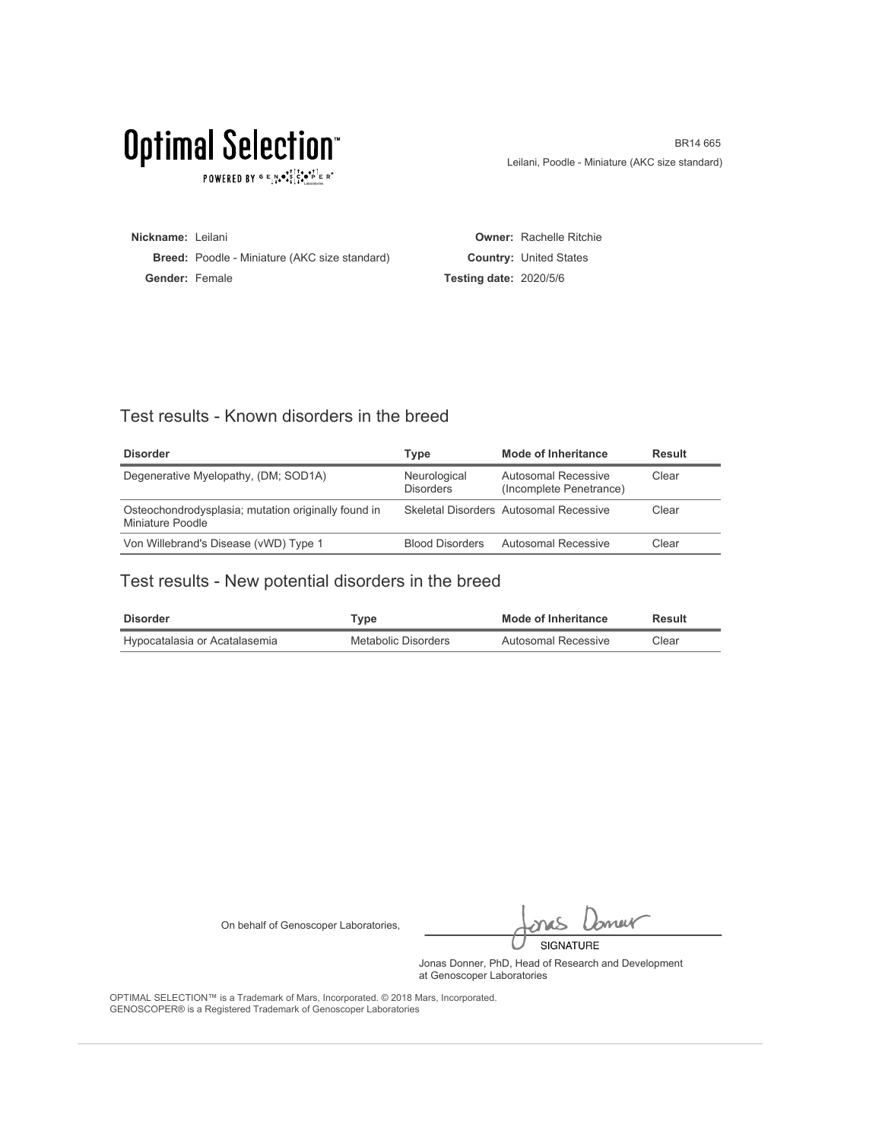POWERED BY  $G \in N_{\bullet} \bullet_{\bullet}^{\bullet} \overset{\uparrow}{\underset{\smile}{\circ}} \overset{\uparrow}{\underset{\smile}{\circ}} \overset{\uparrow}{\underset{\smile}{\circ}} \overset{\uparrow}{\underset{\smile}{\circ}} \overset{\uparrow}{\underset{\smile}{\circ}} \overset{\uparrow}{\underset{\smile}{\circ}} \overset{\uparrow}{\underset{\smile}{\circ}} \overset{\uparrow}{\underset{\smile}{\circ}} \overset{\uparrow}{\underset{\smile}{\circ}} \overset{\uparrow}{\underset{\smile}{\circ}}$ 

BR14 665 Leilani, Poodle - Miniature (AKC size standard)

**Nickname:** Leilani **Breed:** Poodle - Miniature (AKC size standard) **Gender:** Female **Owner:** Rachelle Ritchie **Country:** United States **Testing date:** 2020/5/6

#### Test results - Known disorders in the breed

| <b>Disorder</b>                                                         | Type                             | Mode of Inheritance                            | Result |
|-------------------------------------------------------------------------|----------------------------------|------------------------------------------------|--------|
| Degenerative Myelopathy, (DM; SOD1A)                                    | Neurological<br><b>Disorders</b> | Autosomal Recessive<br>(Incomplete Penetrance) | Clear  |
| Osteochondrodysplasia; mutation originally found in<br>Miniature Poodle |                                  | Skeletal Disorders Autosomal Recessive         | Clear  |
| Von Willebrand's Disease (vWD) Type 1                                   | <b>Blood Disorders</b>           | Autosomal Recessive                            | Clear  |

### Test results - New potential disorders in the breed

| <b>Disorder</b>               | vpe"                | Mode of Inheritance | Result |
|-------------------------------|---------------------|---------------------|--------|
| Hypocatalasia or Acatalasemia | Metabolic Disorders | Autosomal Recessive | Clear  |

On behalf of Genoscoper Laboratories,

bnew SIGNATURE

Jonas Donner, PhD, Head of Research and Development at Genoscoper Laboratories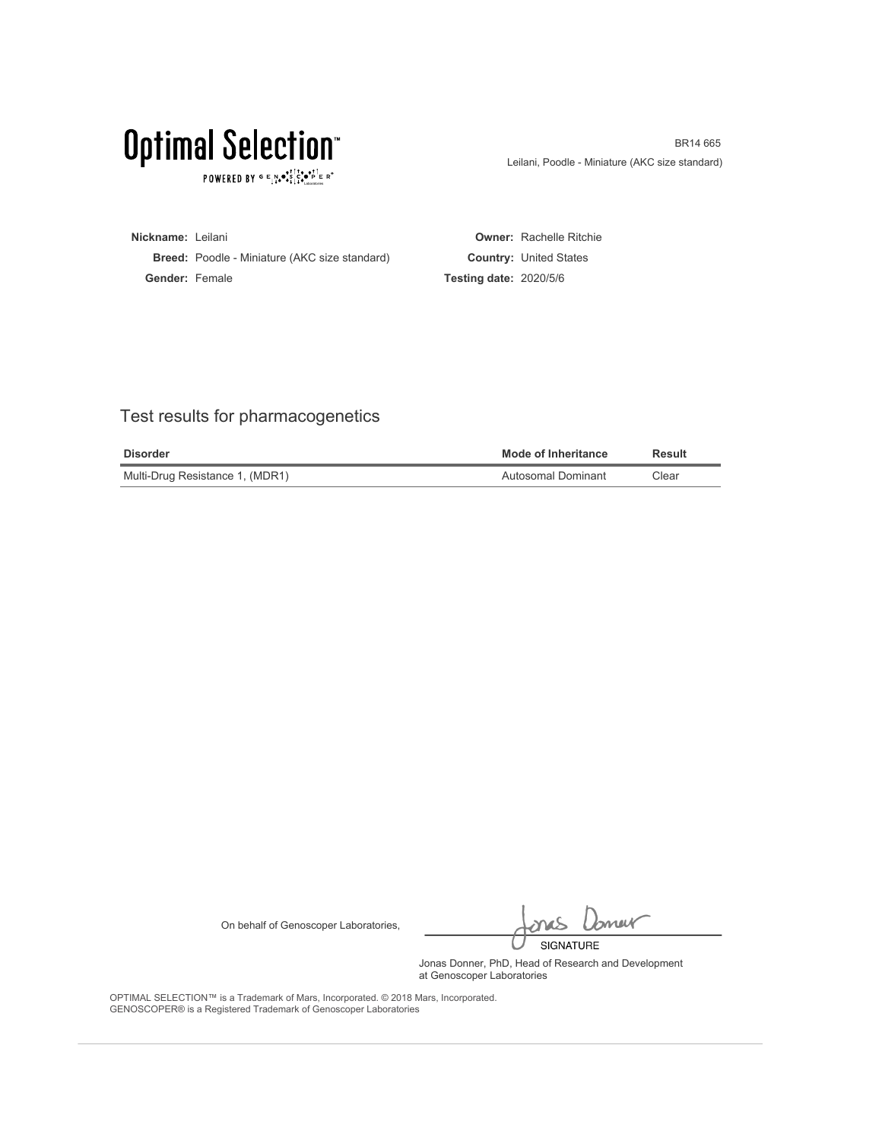$\texttt{POWERED BY} \texttt{G} \xrightarrow{E} \texttt{N} \bullet \texttt{S}^\texttt{t\top} \texttt{C} \bullet \texttt{P}^\texttt{t\top} \texttt{E} \texttt{R}^\circ$ 

BR14 665 Leilani, Poodle - Miniature (AKC size standard)

**Nickname:** Leilani **Breed:** Poodle - Miniature (AKC size standard) **Gender:** Female **Owner:** Rachelle Ritchie **Country:** United States **Testing date:** 2020/5/6

### Test results for pharmacogenetics

| <b>Disorder</b>                 | <b>Mode of Inheritance</b> | Result |
|---------------------------------|----------------------------|--------|
| Multi-Drug Resistance 1, (MDR1) | Autosomal Dominant         | Clear  |

On behalf of Genoscoper Laboratories,

bnew SIGNATURE

Jonas Donner, PhD, Head of Research and Development at Genoscoper Laboratories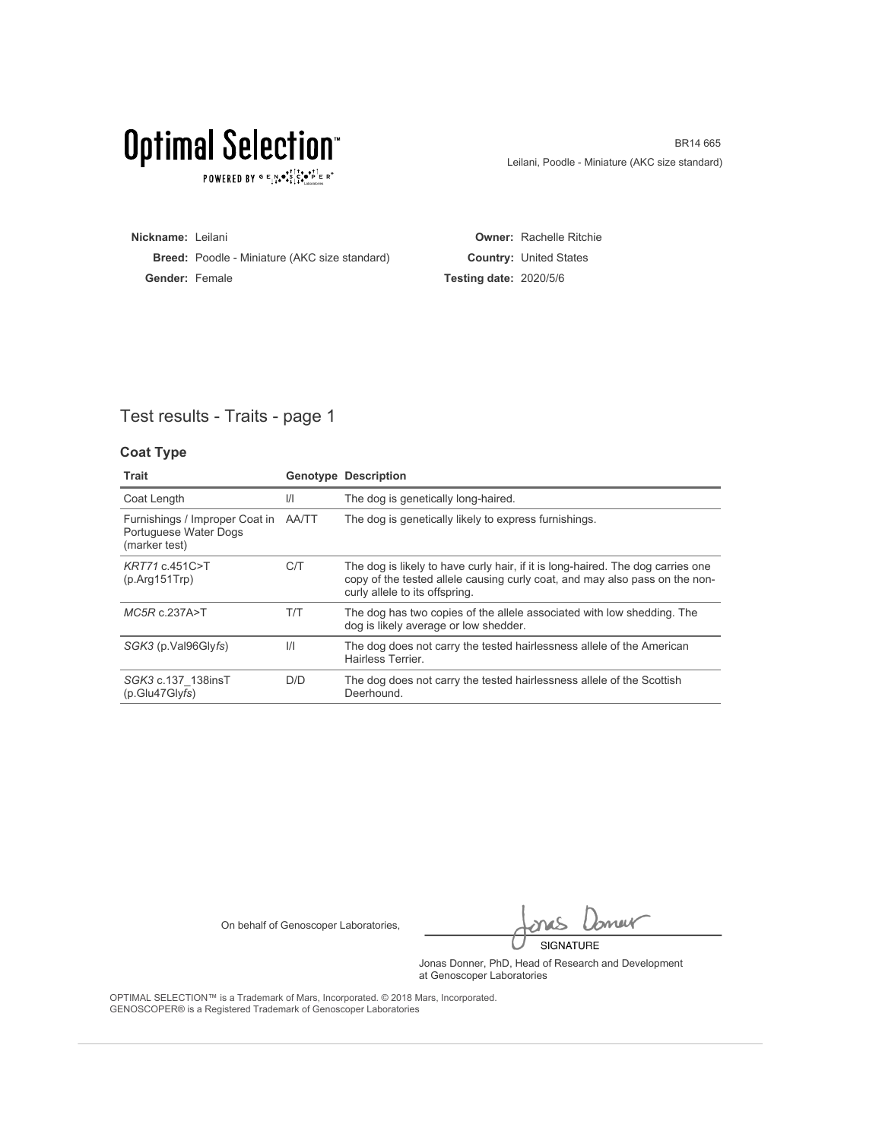$\texttt{POWERED BY} \texttt{G} \xrightarrow{E} \texttt{N} \bullet \texttt{S}^\texttt{t\top} \texttt{C} \bullet \texttt{P}^\texttt{t\top} \texttt{E} \texttt{R}^\circ$ 

BR14 665 Leilani, Poodle - Miniature (AKC size standard)

**Nickname:** Leilani **Breed:** Poodle - Miniature (AKC size standard) **Gender:** Female **Owner:** Rachelle Ritchie **Country:** United States **Testing date:** 2020/5/6

### Test results - Traits - page 1

#### **Coat Type**

| Trait                                                                          |               | <b>Genotype Description</b>                                                                                                                                                                      |
|--------------------------------------------------------------------------------|---------------|--------------------------------------------------------------------------------------------------------------------------------------------------------------------------------------------------|
| Coat Length                                                                    | $\frac{1}{1}$ | The dog is genetically long-haired.                                                                                                                                                              |
| Furnishings / Improper Coat in AA/TT<br>Portuguese Water Dogs<br>(marker test) |               | The dog is genetically likely to express furnishings.                                                                                                                                            |
| KRT71 c.451C>T<br>(p. Arg151                                                   | C/T           | The dog is likely to have curly hair, if it is long-haired. The dog carries one<br>copy of the tested allele causing curly coat, and may also pass on the non-<br>curly allele to its offspring. |
| $MC5R$ c.237A>T                                                                | T/T           | The dog has two copies of the allele associated with low shedding. The<br>dog is likely average or low shedder.                                                                                  |
| SGK3 (p.Val96Glyfs)                                                            | $\frac{1}{1}$ | The dog does not carry the tested hairlessness allele of the American<br>Hairless Terrier.                                                                                                       |
| SGK3 c.137 138insT<br>(p.Glu47Glyfs)                                           | D/D           | The dog does not carry the tested hairlessness allele of the Scottish<br>Deerhound.                                                                                                              |

On behalf of Genoscoper Laboratories,

bnew SIGNATURE

Jonas Donner, PhD, Head of Research and Development at Genoscoper Laboratories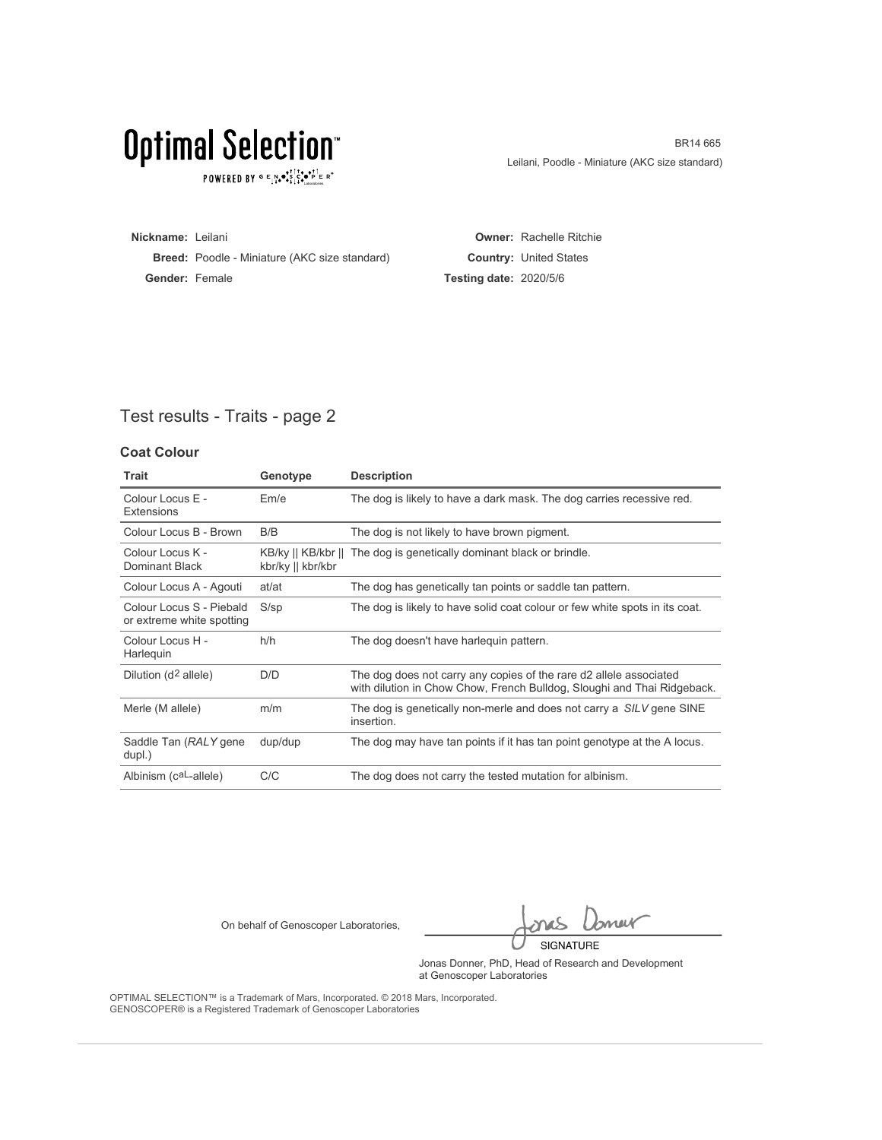## Optimal Selection<sup>®</sup>

 $\texttt{POWERED BY} \texttt{G} \xrightarrow{E} \texttt{N} \bullet \texttt{S}^\texttt{t\top} \texttt{C} \bullet \texttt{P}^\texttt{t\top} \texttt{E} \texttt{R}^\circ$ 

BR14 665 Leilani, Poodle - Miniature (AKC size standard)

**Nickname:** Leilani **Breed:** Poodle - Miniature (AKC size standard) **Gender:** Female **Owner:** Rachelle Ritchie **Country:** United States **Testing date:** 2020/5/6

### Test results - Traits - page 2

#### **Coat Colour**

| <b>Trait</b>                                          | Genotype          | <b>Description</b>                                                                                                                            |
|-------------------------------------------------------|-------------------|-----------------------------------------------------------------------------------------------------------------------------------------------|
| Colour Locus E -<br><b>Extensions</b>                 | Em/e              | The dog is likely to have a dark mask. The dog carries recessive red.                                                                         |
| Colour Locus B - Brown                                | B/B               | The dog is not likely to have brown pigment.                                                                                                  |
| Colour Locus K -<br>Dominant Black                    | kbr/ky    kbr/kbr | KB/ky    KB/kbr    The dog is genetically dominant black or brindle.                                                                          |
| Colour Locus A - Agouti                               | at/at             | The dog has genetically tan points or saddle tan pattern.                                                                                     |
| Colour Locus S - Piebald<br>or extreme white spotting | $S$ /sp           | The dog is likely to have solid coat colour or few white spots in its coat.                                                                   |
| Colour Locus H -<br>Harlequin                         | h/h               | The dog doesn't have harleguin pattern.                                                                                                       |
| Dilution (d <sup>2</sup> allele)                      | D/D               | The dog does not carry any copies of the rare d2 allele associated<br>with dilution in Chow Chow, French Bulldog, Sloughi and Thai Ridgeback. |
| Merle (M allele)                                      | m/m               | The dog is genetically non-merle and does not carry a SILV gene SINE<br>insertion.                                                            |
| Saddle Tan (RALY gene<br>dupl.)                       | dup/dup           | The dog may have tan points if it has tan point genotype at the A locus.                                                                      |
| Albinism (caL-allele)                                 | C/C               | The dog does not carry the tested mutation for albinism.                                                                                      |

On behalf of Genoscoper Laboratories,

bnew SIGNATURE

Jonas Donner, PhD, Head of Research and Development at Genoscoper Laboratories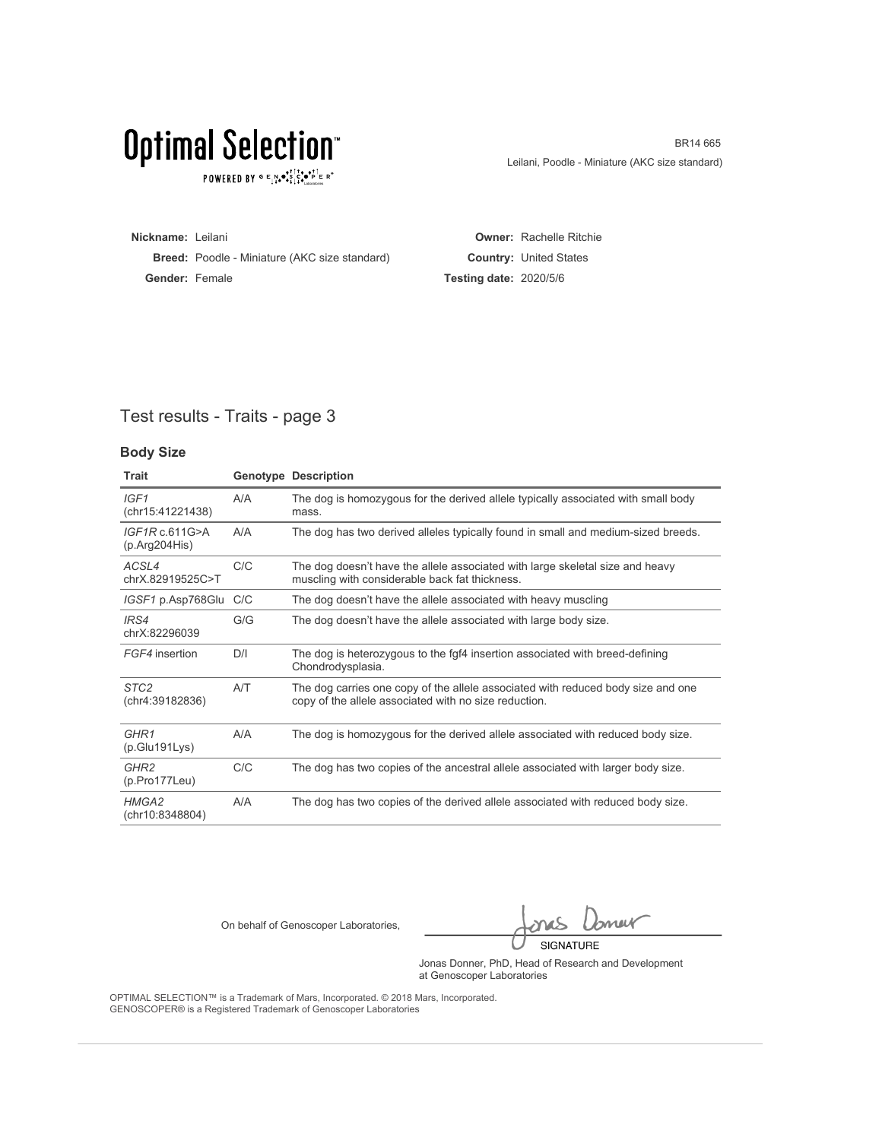## Optimal Selection<sup>®</sup>

 $\texttt{POWERED BY} \texttt{G} \xrightarrow{E} \texttt{N} \bullet \texttt{S}^\texttt{t\top} \texttt{C} \bullet \texttt{P}^\texttt{t\top} \texttt{E} \texttt{R}^\circ$ 

BR14 665 Leilani, Poodle - Miniature (AKC size standard)

**Nickname:** Leilani **Breed:** Poodle - Miniature (AKC size standard) **Gender:** Female **Owner:** Rachelle Ritchie **Country:** United States **Testing date:** 2020/5/6

### Test results - Traits - page 3

#### **Body Size**

| Trait                                    |     | <b>Genotype Description</b>                                                                                                               |
|------------------------------------------|-----|-------------------------------------------------------------------------------------------------------------------------------------------|
| IGF1<br>(chr15:41221438)                 | A/A | The dog is homozygous for the derived allele typically associated with small body<br>mass.                                                |
| IGF1Rc.611G>A<br>(p. Arg204His)          | A/A | The dog has two derived alleles typically found in small and medium-sized breeds.                                                         |
| ACSL4<br>chrX.82919525C>T                | C/C | The dog doesn't have the allele associated with large skeletal size and heavy<br>muscling with considerable back fat thickness.           |
| IGSF1 p.Asp768Glu                        | C/C | The dog doesn't have the allele associated with heavy muscling                                                                            |
| IRS4<br>chrX:82296039                    | G/G | The dog doesn't have the allele associated with large body size.                                                                          |
| FGF4 insertion                           | D/I | The dog is heterozygous to the fgf4 insertion associated with breed-defining<br>Chondrodysplasia.                                         |
| STC <sub>2</sub><br>(chr4:39182836)      | A/T | The dog carries one copy of the allele associated with reduced body size and one<br>copy of the allele associated with no size reduction. |
| GHR <sub>1</sub><br>(p.Glu191Lys)        | A/A | The dog is homozygous for the derived allele associated with reduced body size.                                                           |
| GHR <sub>2</sub><br>$(p. Pro177$ Leu $)$ | C/C | The dog has two copies of the ancestral allele associated with larger body size.                                                          |
| HMGA2<br>(chr10:8348804)                 | A/A | The dog has two copies of the derived allele associated with reduced body size.                                                           |

On behalf of Genoscoper Laboratories,

bnew SIGNATURE

Jonas Donner, PhD, Head of Research and Development at Genoscoper Laboratories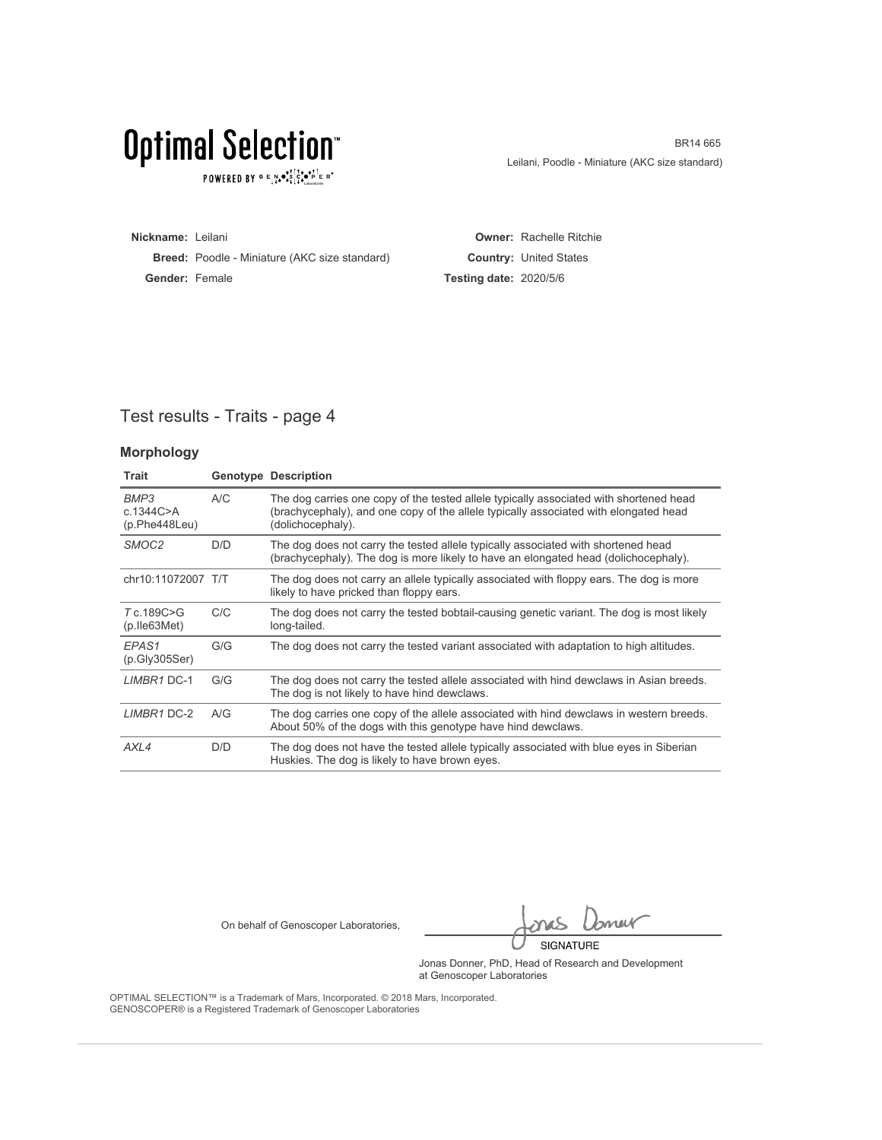## Optimal Selection<sup>®</sup>

 $\texttt{POWERED BY} \texttt{G} \xrightarrow{E} \texttt{N} \bullet \texttt{S}^\texttt{t\top} \texttt{C} \bullet \texttt{P}^\texttt{t\top} \texttt{E} \texttt{R}^\circ$ 

BR14 665 Leilani, Poodle - Miniature (AKC size standard)

**Nickname:** Leilani **Breed:** Poodle - Miniature (AKC size standard) **Gender:** Female **Owner:** Rachelle Ritchie **Country:** United States **Testing date:** 2020/5/6

### Test results - Traits - page 4

#### **Morphology**

| <b>Trait</b>                         |     | <b>Genotype Description</b>                                                                                                                                                                         |
|--------------------------------------|-----|-----------------------------------------------------------------------------------------------------------------------------------------------------------------------------------------------------|
| BMP3<br>c.1344C > A<br>(p.Phe448Leu) | A/C | The dog carries one copy of the tested allele typically associated with shortened head<br>(brachycephaly), and one copy of the allele typically associated with elongated head<br>(dolichocephaly). |
| SMOC <sub>2</sub>                    | D/D | The dog does not carry the tested allele typically associated with shortened head<br>(brachycephaly). The dog is more likely to have an elongated head (dolichocephaly).                            |
| chr10:11072007 T/T                   |     | The dog does not carry an allele typically associated with floppy ears. The dog is more<br>likely to have pricked than floppy ears.                                                                 |
| T c.189C>G<br>$(p.$ Ile 63 Met)      | C/C | The dog does not carry the tested bobtail-causing genetic variant. The dog is most likely<br>long-tailed.                                                                                           |
| EPAS <sub>1</sub><br>(p.Gly305Ser)   | G/G | The dog does not carry the tested variant associated with adaptation to high altitudes.                                                                                                             |
| LIMBR1 DC-1                          | G/G | The dog does not carry the tested allele associated with hind dewclaws in Asian breeds.<br>The dog is not likely to have hind dewclaws.                                                             |
| LIMBR1 DC-2                          | A/G | The dog carries one copy of the allele associated with hind dewclaws in western breeds.<br>About 50% of the dogs with this genotype have hind dewclaws.                                             |
| AXL4                                 | D/D | The dog does not have the tested allele typically associated with blue eyes in Siberian<br>Huskies. The dog is likely to have brown eyes.                                                           |

On behalf of Genoscoper Laboratories,

bnew SIGNATURE

Jonas Donner, PhD, Head of Research and Development at Genoscoper Laboratories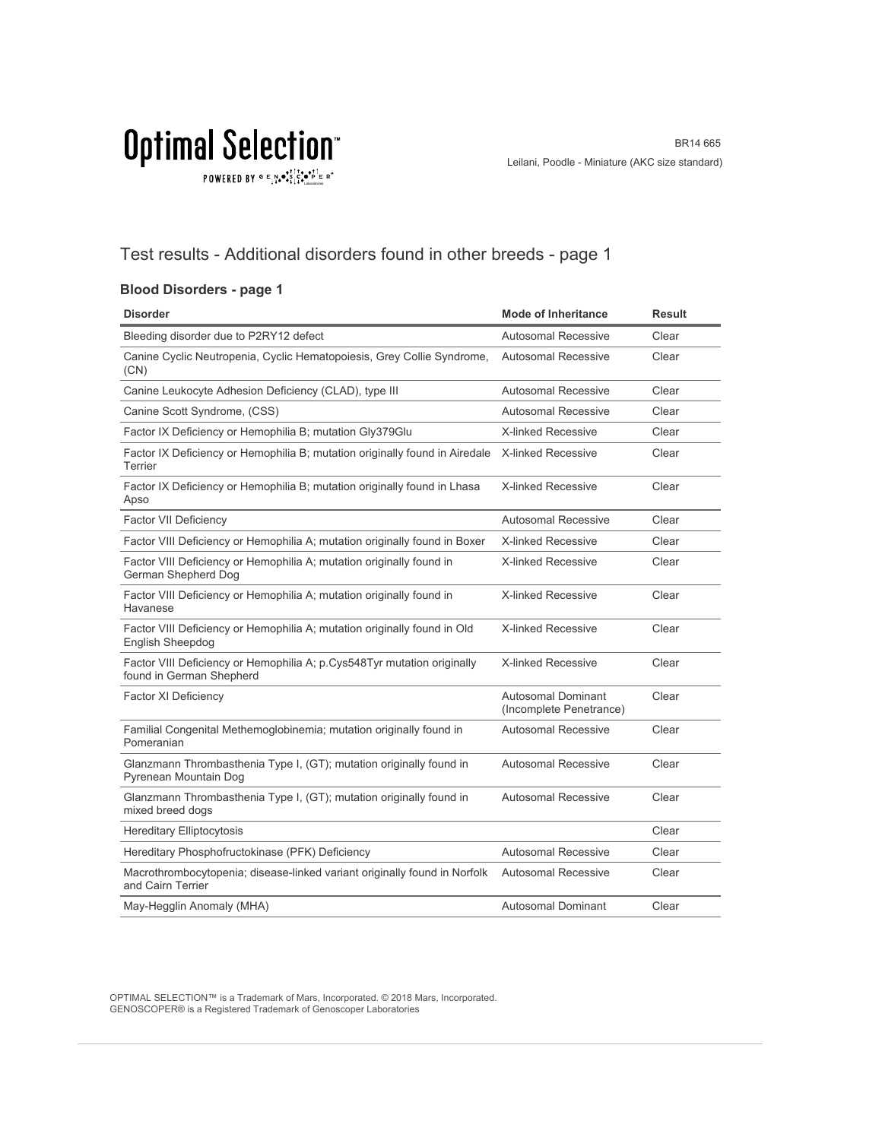$\texttt{POWERED BY} \texttt{G} \xrightarrow{P} \mathbf{A} \bullet \begin{smallmatrix} \texttt{S} & \texttt{S} & \texttt{S} & \texttt{S} \\ \texttt{S} & \texttt{S} & \texttt{S} & \texttt{S} \\ \texttt{S} & \texttt{S} & \texttt{S} & \texttt{S} \end{smallmatrix} \xrightarrow{P} \begin{smallmatrix} \texttt{S} & \texttt{S} & \texttt{S} \\ \texttt{S} & \texttt{S} & \texttt{S} & \texttt{S} \end{smallmatrix} \xrightarrow{P} \begin{smallmatrix} \texttt{S} & \texttt{S} & \texttt$ 

### Test results - Additional disorders found in other breeds - page 1

#### **Blood Disorders - page 1**

| <b>Disorder</b>                                                                                     | <b>Mode of Inheritance</b>                           | <b>Result</b> |
|-----------------------------------------------------------------------------------------------------|------------------------------------------------------|---------------|
| Bleeding disorder due to P2RY12 defect                                                              | Autosomal Recessive                                  | Clear         |
| Canine Cyclic Neutropenia, Cyclic Hematopoiesis, Grey Collie Syndrome,<br>(CN)                      | <b>Autosomal Recessive</b>                           | Clear         |
| Canine Leukocyte Adhesion Deficiency (CLAD), type III                                               | Autosomal Recessive                                  | Clear         |
| Canine Scott Syndrome, (CSS)                                                                        | <b>Autosomal Recessive</b>                           | Clear         |
| Factor IX Deficiency or Hemophilia B; mutation Gly379Glu                                            | <b>X-linked Recessive</b>                            | Clear         |
| Factor IX Deficiency or Hemophilia B; mutation originally found in Airedale<br>Terrier              | X-linked Recessive                                   | Clear         |
| Factor IX Deficiency or Hemophilia B; mutation originally found in Lhasa<br>Apso                    | <b>X-linked Recessive</b>                            | Clear         |
| <b>Factor VII Deficiency</b>                                                                        | Autosomal Recessive                                  | Clear         |
| Factor VIII Deficiency or Hemophilia A; mutation originally found in Boxer                          | <b>X-linked Recessive</b>                            | Clear         |
| Factor VIII Deficiency or Hemophilia A; mutation originally found in<br>German Shepherd Dog         | <b>X-linked Recessive</b>                            | Clear         |
| Factor VIII Deficiency or Hemophilia A; mutation originally found in<br>Havanese                    | X-linked Recessive                                   | Clear         |
| Factor VIII Deficiency or Hemophilia A; mutation originally found in Old<br><b>English Sheepdog</b> | <b>X-linked Recessive</b>                            | Clear         |
| Factor VIII Deficiency or Hemophilia A; p.Cys548Tyr mutation originally<br>found in German Shepherd | <b>X-linked Recessive</b>                            | Clear         |
| <b>Factor XI Deficiency</b>                                                                         | <b>Autosomal Dominant</b><br>(Incomplete Penetrance) | Clear         |
| Familial Congenital Methemoglobinemia; mutation originally found in<br>Pomeranian                   | Autosomal Recessive                                  | Clear         |
| Glanzmann Thrombasthenia Type I, (GT); mutation originally found in<br>Pyrenean Mountain Dog        | <b>Autosomal Recessive</b>                           | Clear         |
| Glanzmann Thrombasthenia Type I, (GT); mutation originally found in<br>mixed breed dogs             | <b>Autosomal Recessive</b>                           | Clear         |
| <b>Hereditary Elliptocytosis</b>                                                                    |                                                      | Clear         |
| Hereditary Phosphofructokinase (PFK) Deficiency                                                     | Autosomal Recessive                                  | Clear         |
| Macrothrombocytopenia; disease-linked variant originally found in Norfolk<br>and Cairn Terrier      | <b>Autosomal Recessive</b>                           | Clear         |
| May-Hegglin Anomaly (MHA)                                                                           | Autosomal Dominant                                   | Clear         |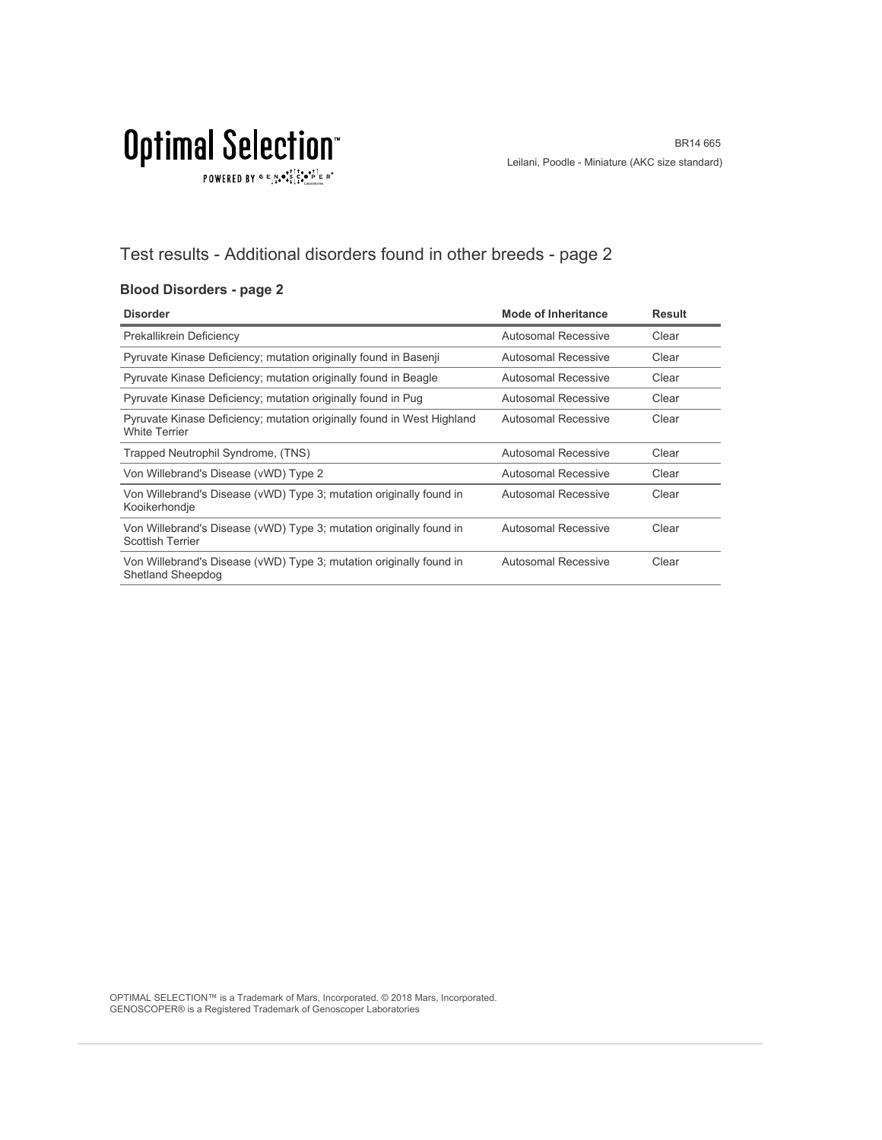$\texttt{POWERED BY} \overset{\text{G}}{=} \underset{\textbf{1}}{\text{N}} \bullet \overset{\text{G}}{\text{S}} \underset{\textbf{1}}{\overset{\text{I}}{\text{I}}}\circ \overset{\text{G}}{\bullet}\overset{\text{F}}{\text{I}} \underset{\text{the becomes}}{\overset{\text{G}}{\text{F}}} \mathbb{R}^\circ$ 

### Test results - Additional disorders found in other breeds - page 2

#### **Blood Disorders - page 2**

| <b>Disorder</b>                                                                                 | <b>Mode of Inheritance</b> | <b>Result</b> |
|-------------------------------------------------------------------------------------------------|----------------------------|---------------|
| Prekallikrein Deficiency                                                                        | Autosomal Recessive        | Clear         |
| Pyruvate Kinase Deficiency; mutation originally found in Basenji                                | Autosomal Recessive        | Clear         |
| Pyruvate Kinase Deficiency; mutation originally found in Beagle                                 | Autosomal Recessive        | Clear         |
| Pyruvate Kinase Deficiency; mutation originally found in Pug                                    | Autosomal Recessive        | Clear         |
| Pyruvate Kinase Deficiency; mutation originally found in West Highland<br><b>White Terrier</b>  | Autosomal Recessive        | Clear         |
| Trapped Neutrophil Syndrome, (TNS)                                                              | Autosomal Recessive        | Clear         |
| Von Willebrand's Disease (vWD) Type 2                                                           | Autosomal Recessive        | Clear         |
| Von Willebrand's Disease (vWD) Type 3; mutation originally found in<br>Kooikerhondje            | Autosomal Recessive        | Clear         |
| Von Willebrand's Disease (vWD) Type 3; mutation originally found in<br><b>Scottish Terrier</b>  | Autosomal Recessive        | Clear         |
| Von Willebrand's Disease (vWD) Type 3; mutation originally found in<br><b>Shetland Sheepdog</b> | Autosomal Recessive        | Clear         |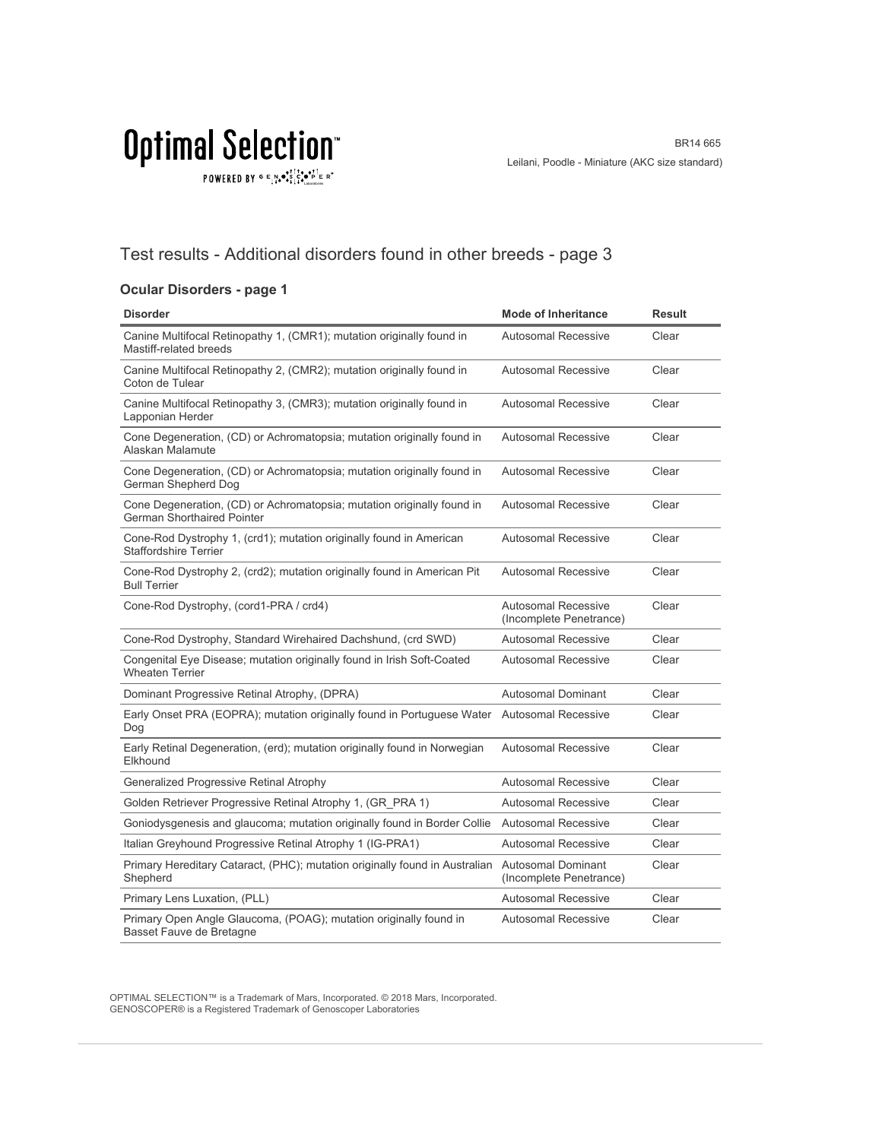$\texttt{POWERED BY} \overset{\text{\tiny{\textsf{GP}}}}{=} \mathbb{E}^{\text{N}}_{\text{14}} \bullet^{\text{\tiny{\textsf{opt}}}}_{\text{\tiny{\textsf{14}}}} \mathbb{E}^{\bullet\bullet\text{PI}}_{\text{\tiny{\textsf{14}}}} \mathbb{E}^{\circ\text{-P}}$ 

### Test results - Additional disorders found in other breeds - page 3

#### **Ocular Disorders - page 1**

| <b>Disorder</b>                                                                                             | <b>Mode of Inheritance</b>                            | <b>Result</b> |
|-------------------------------------------------------------------------------------------------------------|-------------------------------------------------------|---------------|
| Canine Multifocal Retinopathy 1, (CMR1); mutation originally found in<br>Mastiff-related breeds             | <b>Autosomal Recessive</b>                            | Clear         |
| Canine Multifocal Retinopathy 2, (CMR2); mutation originally found in<br>Coton de Tulear                    | <b>Autosomal Recessive</b>                            | Clear         |
| Canine Multifocal Retinopathy 3, (CMR3); mutation originally found in<br>Lapponian Herder                   | <b>Autosomal Recessive</b>                            | Clear         |
| Cone Degeneration, (CD) or Achromatopsia; mutation originally found in<br>Alaskan Malamute                  | <b>Autosomal Recessive</b>                            | Clear         |
| Cone Degeneration, (CD) or Achromatopsia; mutation originally found in<br>German Shepherd Dog               | <b>Autosomal Recessive</b>                            | Clear         |
| Cone Degeneration, (CD) or Achromatopsia; mutation originally found in<br><b>German Shorthaired Pointer</b> | <b>Autosomal Recessive</b>                            | Clear         |
| Cone-Rod Dystrophy 1, (crd1); mutation originally found in American<br><b>Staffordshire Terrier</b>         | <b>Autosomal Recessive</b>                            | Clear         |
| Cone-Rod Dystrophy 2, (crd2); mutation originally found in American Pit<br><b>Bull Terrier</b>              | <b>Autosomal Recessive</b>                            | Clear         |
| Cone-Rod Dystrophy, (cord1-PRA / crd4)                                                                      | <b>Autosomal Recessive</b><br>(Incomplete Penetrance) | Clear         |
| Cone-Rod Dystrophy, Standard Wirehaired Dachshund, (crd SWD)                                                | <b>Autosomal Recessive</b>                            | Clear         |
| Congenital Eye Disease; mutation originally found in Irish Soft-Coated<br><b>Wheaten Terrier</b>            | <b>Autosomal Recessive</b>                            | Clear         |
| Dominant Progressive Retinal Atrophy, (DPRA)                                                                | Autosomal Dominant                                    | Clear         |
| Early Onset PRA (EOPRA); mutation originally found in Portuguese Water<br>Dog                               | <b>Autosomal Recessive</b>                            | Clear         |
| Early Retinal Degeneration, (erd); mutation originally found in Norwegian<br>Elkhound                       | <b>Autosomal Recessive</b>                            | Clear         |
| Generalized Progressive Retinal Atrophy                                                                     | <b>Autosomal Recessive</b>                            | Clear         |
| Golden Retriever Progressive Retinal Atrophy 1, (GR PRA 1)                                                  | Autosomal Recessive                                   | Clear         |
| Goniodysgenesis and glaucoma; mutation originally found in Border Collie                                    | <b>Autosomal Recessive</b>                            | Clear         |
| Italian Greyhound Progressive Retinal Atrophy 1 (IG-PRA1)                                                   | Autosomal Recessive                                   | Clear         |
| Primary Hereditary Cataract, (PHC); mutation originally found in Australian<br>Shepherd                     | Autosomal Dominant<br>(Incomplete Penetrance)         | Clear         |
| Primary Lens Luxation, (PLL)                                                                                | <b>Autosomal Recessive</b>                            | Clear         |
| Primary Open Angle Glaucoma, (POAG); mutation originally found in<br>Basset Fauve de Bretagne               | <b>Autosomal Recessive</b>                            | Clear         |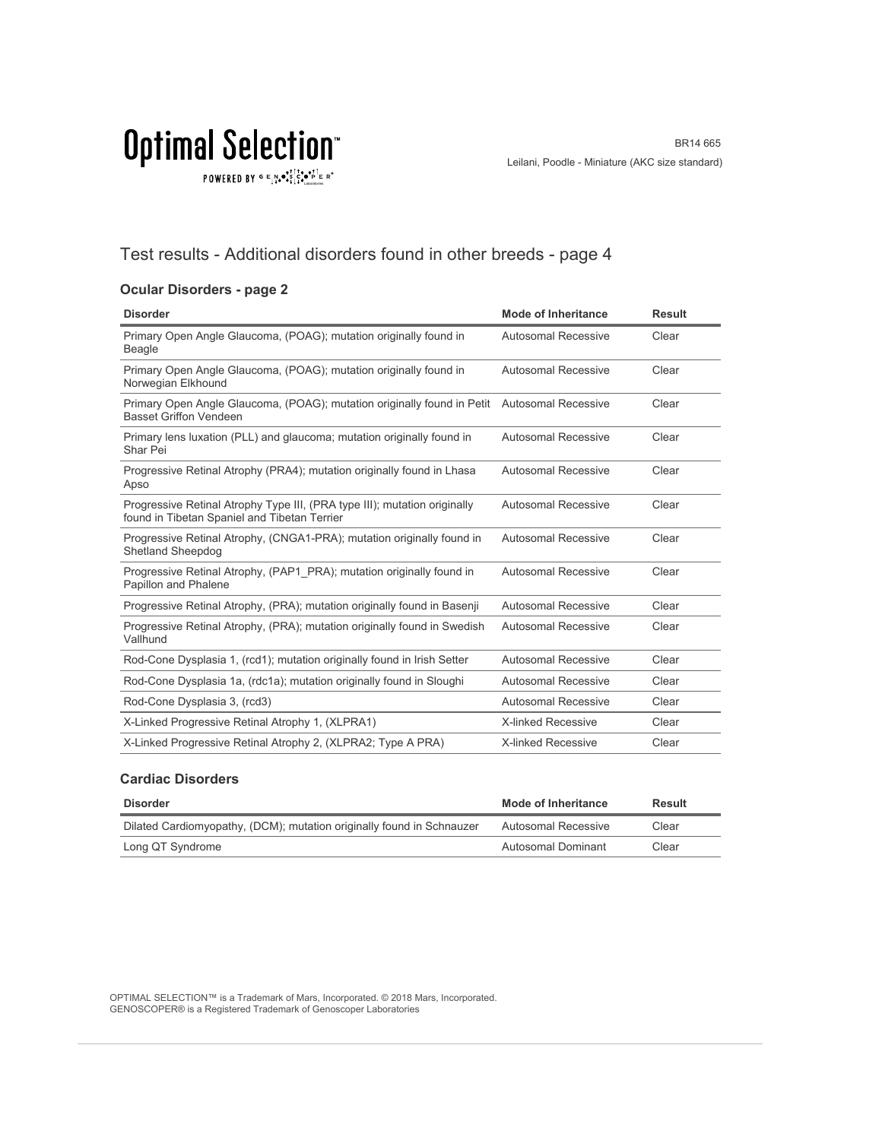$\texttt{POWERED BY} \overset{\text{G}}{=} \underset{\textbf{1}}{\text{N}} \bullet \overset{\text{G}}{\text{S}} \underset{\textbf{1}}{\overset{\text{I}}{\text{I}}}\circ \overset{\text{G}}{\bullet}\overset{\text{F}}{\text{I}} \underset{\text{the becomes}}{\overset{\text{G}}{\text{F}}} \mathbb{R}^\circ$ 

### Test results - Additional disorders found in other breeds - page 4

#### **Ocular Disorders - page 2**

| <b>Disorder</b>                                                                                                              | <b>Mode of Inheritance</b> | <b>Result</b> |
|------------------------------------------------------------------------------------------------------------------------------|----------------------------|---------------|
| Primary Open Angle Glaucoma, (POAG); mutation originally found in<br><b>Beagle</b>                                           | Autosomal Recessive        | Clear         |
| Primary Open Angle Glaucoma, (POAG); mutation originally found in<br>Norwegian Elkhound                                      | Autosomal Recessive        | Clear         |
| Primary Open Angle Glaucoma, (POAG); mutation originally found in Petit Autosomal Recessive<br><b>Basset Griffon Vendeen</b> |                            | Clear         |
| Primary lens luxation (PLL) and glaucoma; mutation originally found in<br>Shar Pei                                           | Autosomal Recessive        | Clear         |
| Progressive Retinal Atrophy (PRA4); mutation originally found in Lhasa<br>Apso                                               | Autosomal Recessive        | Clear         |
| Progressive Retinal Atrophy Type III, (PRA type III); mutation originally<br>found in Tibetan Spaniel and Tibetan Terrier    | <b>Autosomal Recessive</b> | Clear         |
| Progressive Retinal Atrophy, (CNGA1-PRA); mutation originally found in<br><b>Shetland Sheepdog</b>                           | Autosomal Recessive        | Clear         |
| Progressive Retinal Atrophy, (PAP1 PRA); mutation originally found in<br>Papillon and Phalene                                | Autosomal Recessive        | Clear         |
| Progressive Retinal Atrophy, (PRA); mutation originally found in Basenji                                                     | Autosomal Recessive        | Clear         |
| Progressive Retinal Atrophy, (PRA); mutation originally found in Swedish<br>Vallhund                                         | <b>Autosomal Recessive</b> | Clear         |
| Rod-Cone Dysplasia 1, (rcd1); mutation originally found in Irish Setter                                                      | Autosomal Recessive        | Clear         |
| Rod-Cone Dysplasia 1a, (rdc1a); mutation originally found in Sloughi                                                         | <b>Autosomal Recessive</b> | Clear         |
| Rod-Cone Dysplasia 3, (rcd3)                                                                                                 | Autosomal Recessive        | Clear         |
| X-Linked Progressive Retinal Atrophy 1, (XLPRA1)                                                                             | <b>X-linked Recessive</b>  | Clear         |
| X-Linked Progressive Retinal Atrophy 2, (XLPRA2; Type A PRA)                                                                 | <b>X-linked Recessive</b>  | Clear         |

#### **Cardiac Disorders**

| <b>Disorder</b>                                                       | <b>Mode of Inheritance</b> | Result |
|-----------------------------------------------------------------------|----------------------------|--------|
| Dilated Cardiomyopathy, (DCM); mutation originally found in Schnauzer | Autosomal Recessive        | Clear  |
| Long QT Syndrome                                                      | Autosomal Dominant         | Clear  |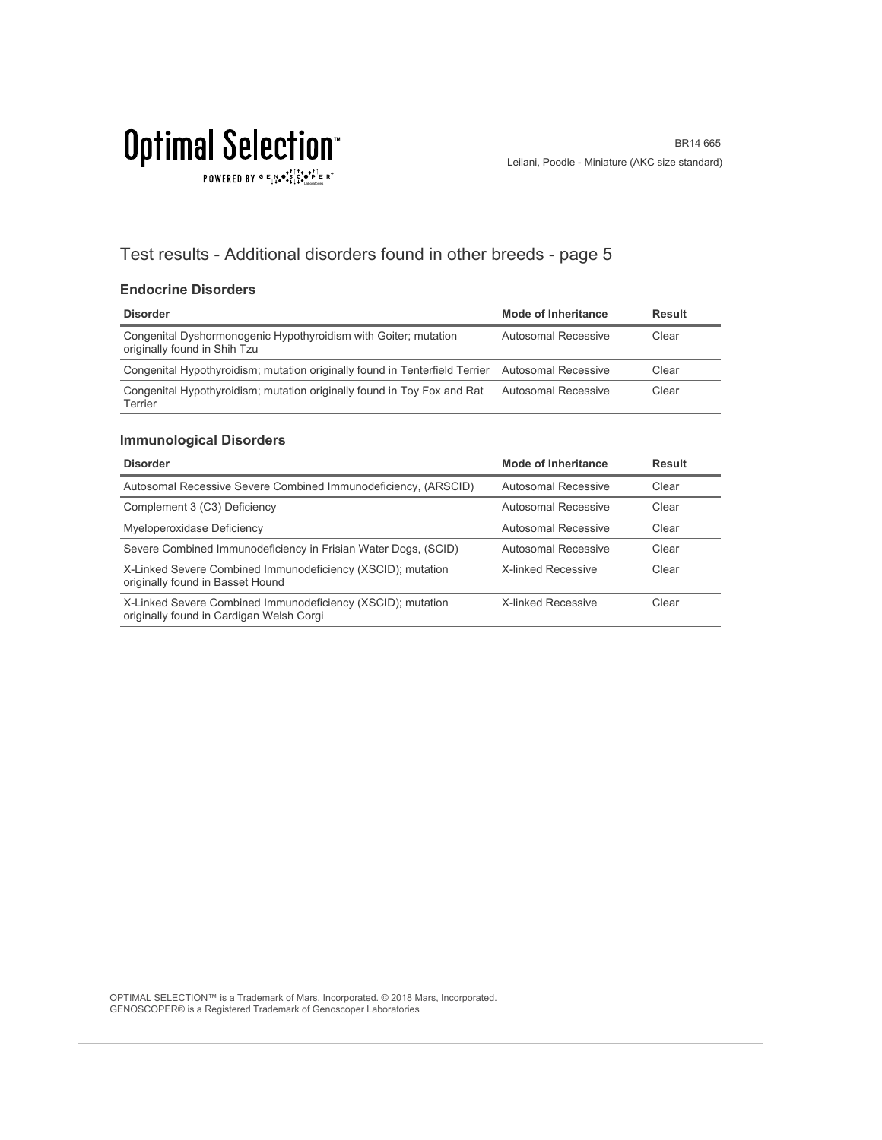$\texttt{POWERED BY} \overset{\text{G}}{=} \underset{\textbf{1}}{\text{N}} \bullet \overset{\text{G}}{\text{S}} \underset{\textbf{1}}{\overset{\text{I}}{\text{I}}}\circ \overset{\text{G}}{\bullet}\overset{\text{F}}{\text{I}} \underset{\text{the becomes}}{\overset{\text{G}}{\text{F}}} \mathbb{R}^\circ$ 

### Test results - Additional disorders found in other breeds - page 5

#### **Endocrine Disorders**

| <b>Disorder</b>                                                                                 | Mode of Inheritance | <b>Result</b> |
|-------------------------------------------------------------------------------------------------|---------------------|---------------|
| Congenital Dyshormonogenic Hypothyroidism with Goiter; mutation<br>originally found in Shih Tzu | Autosomal Recessive | Clear         |
| Congenital Hypothyroidism; mutation originally found in Tenterfield Terrier Autosomal Recessive |                     | Clear         |
| Congenital Hypothyroidism; mutation originally found in Toy Fox and Rat<br>Terrier              | Autosomal Recessive | Clear         |

#### **Immunological Disorders**

| <b>Disorder</b>                                                                                         | <b>Mode of Inheritance</b> | <b>Result</b> |
|---------------------------------------------------------------------------------------------------------|----------------------------|---------------|
| Autosomal Recessive Severe Combined Immunodeficiency, (ARSCID)                                          | Autosomal Recessive        | Clear         |
| Complement 3 (C3) Deficiency                                                                            | Autosomal Recessive        | Clear         |
| Myeloperoxidase Deficiency                                                                              | Autosomal Recessive        | Clear         |
| Severe Combined Immunodeficiency in Frisian Water Dogs, (SCID)                                          | Autosomal Recessive        | Clear         |
| X-Linked Severe Combined Immunodeficiency (XSCID); mutation<br>originally found in Basset Hound         | X-linked Recessive         | Clear         |
| X-Linked Severe Combined Immunodeficiency (XSCID); mutation<br>originally found in Cardigan Welsh Corgi | <b>X-linked Recessive</b>  | Clear         |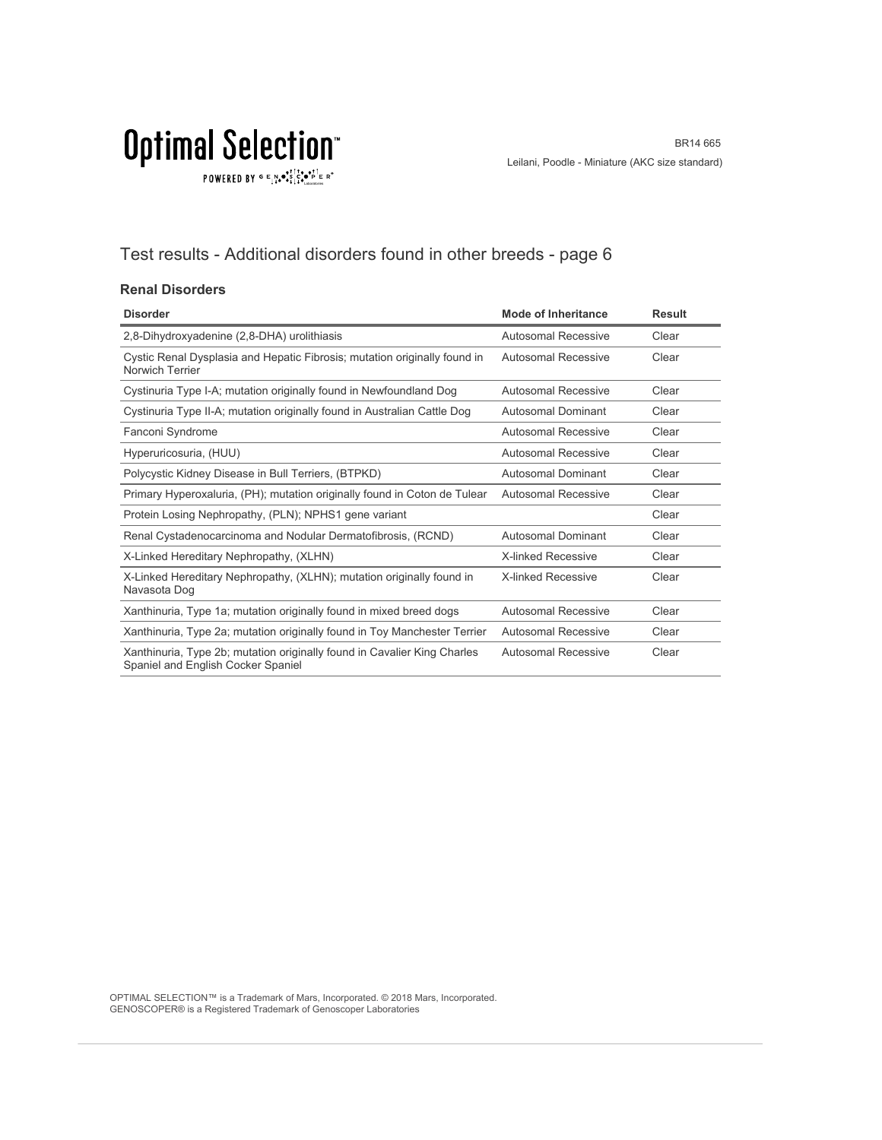$\texttt{POWERED BY} \overset{\text{G}}{=} \underset{\textbf{1}}{\text{N}} \bullet \overset{\text{G}}{\text{S}} \underset{\textbf{1}}{\overset{\text{I}}{\text{I}}}\circ \overset{\text{G}}{\bullet}\overset{\text{F}}{\text{I}} \underset{\text{the becomes}}{\overset{\text{G}}{\text{F}}} \mathbb{R}^\circ$ 

### Test results - Additional disorders found in other breeds - page 6

#### **Renal Disorders**

| <b>Disorder</b>                                                                                                | <b>Mode of Inheritance</b> | <b>Result</b> |
|----------------------------------------------------------------------------------------------------------------|----------------------------|---------------|
| 2,8-Dihydroxyadenine (2,8-DHA) urolithiasis                                                                    | Autosomal Recessive        | Clear         |
| Cystic Renal Dysplasia and Hepatic Fibrosis; mutation originally found in<br>Norwich Terrier                   | Autosomal Recessive        | Clear         |
| Cystinuria Type I-A; mutation originally found in Newfoundland Dog                                             | <b>Autosomal Recessive</b> | Clear         |
| Cystinuria Type II-A; mutation originally found in Australian Cattle Dog                                       | Autosomal Dominant         | Clear         |
| Fanconi Syndrome                                                                                               | Autosomal Recessive        | Clear         |
| Hyperuricosuria, (HUU)                                                                                         | Autosomal Recessive        | Clear         |
| Polycystic Kidney Disease in Bull Terriers, (BTPKD)                                                            | Autosomal Dominant         | Clear         |
| Primary Hyperoxaluria, (PH); mutation originally found in Coton de Tulear                                      | Autosomal Recessive        | Clear         |
| Protein Losing Nephropathy, (PLN); NPHS1 gene variant                                                          |                            | Clear         |
| Renal Cystadenocarcinoma and Nodular Dermatofibrosis, (RCND)                                                   | Autosomal Dominant         | Clear         |
| X-Linked Hereditary Nephropathy, (XLHN)                                                                        | <b>X-linked Recessive</b>  | Clear         |
| X-Linked Hereditary Nephropathy, (XLHN); mutation originally found in<br>Navasota Dog                          | <b>X-linked Recessive</b>  | Clear         |
| Xanthinuria, Type 1a; mutation originally found in mixed breed dogs                                            | Autosomal Recessive        | Clear         |
| Xanthinuria, Type 2a; mutation originally found in Toy Manchester Terrier                                      | Autosomal Recessive        | Clear         |
| Xanthinuria, Type 2b; mutation originally found in Cavalier King Charles<br>Spaniel and English Cocker Spaniel | Autosomal Recessive        | Clear         |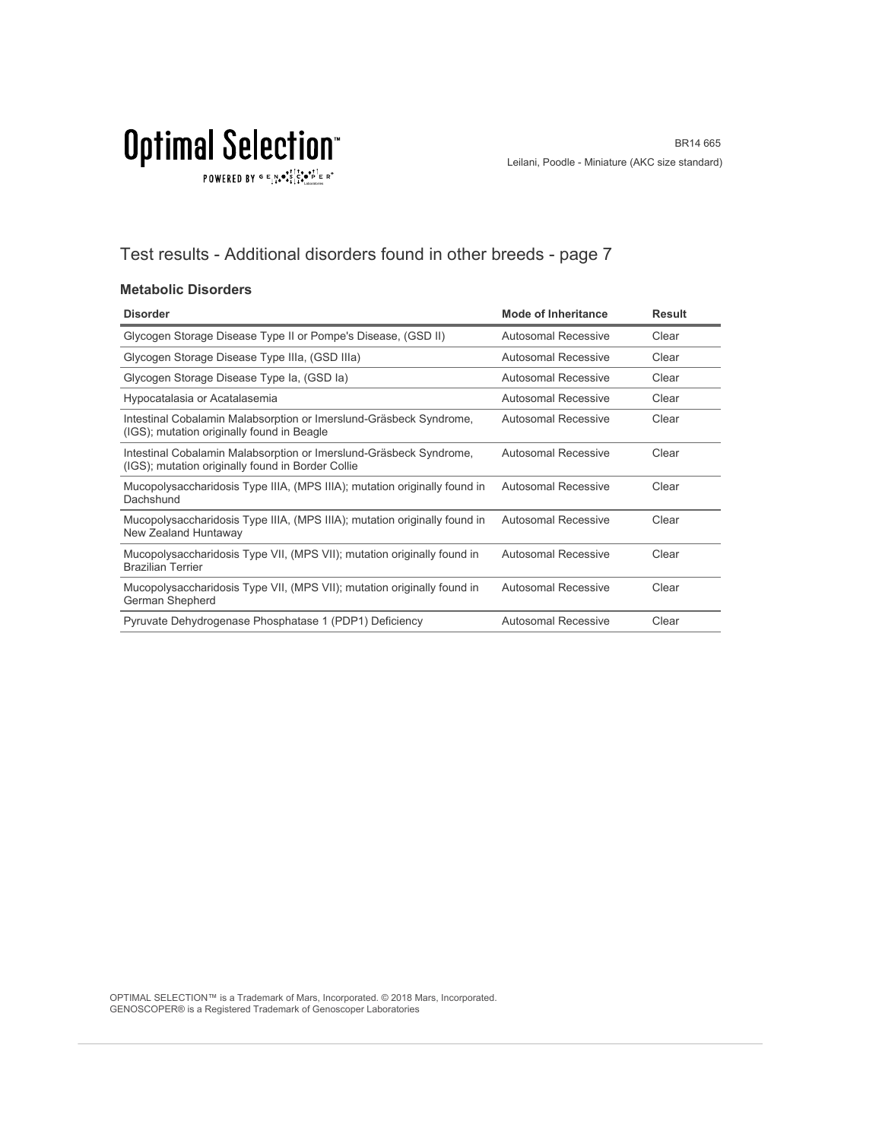$\texttt{POWERED BY} \overset{\text{G}}{=} \underset{\textbf{1}}{\text{N}} \bullet \overset{\text{G}}{\text{S}} \underset{\textbf{1}}{\overset{\text{I}}{\text{I}}}\circ \overset{\text{G}}{\bullet}\overset{\text{F}}{\text{I}} \underset{\text{the becomes}}{\overset{\text{G}}{\text{F}}} \mathbb{R}^\circ$ 

### Test results - Additional disorders found in other breeds - page 7

#### **Metabolic Disorders**

| <b>Disorder</b>                                                                                                         | Mode of Inheritance        | <b>Result</b> |
|-------------------------------------------------------------------------------------------------------------------------|----------------------------|---------------|
| Glycogen Storage Disease Type II or Pompe's Disease, (GSD II)                                                           | <b>Autosomal Recessive</b> | Clear         |
| Glycogen Storage Disease Type IIIa, (GSD IIIa)                                                                          | Autosomal Recessive        | Clear         |
| Glycogen Storage Disease Type Ia, (GSD Ia)                                                                              | Autosomal Recessive        | Clear         |
| Hypocatalasia or Acatalasemia                                                                                           | Autosomal Recessive        | Clear         |
| Intestinal Cobalamin Malabsorption or Imerslund-Gräsbeck Syndrome,<br>(IGS); mutation originally found in Beagle        | Autosomal Recessive        | Clear         |
| Intestinal Cobalamin Malabsorption or Imerslund-Gräsbeck Syndrome,<br>(IGS); mutation originally found in Border Collie | Autosomal Recessive        | Clear         |
| Mucopolysaccharidosis Type IIIA, (MPS IIIA); mutation originally found in<br>Dachshund                                  | <b>Autosomal Recessive</b> | Clear         |
| Mucopolysaccharidosis Type IIIA, (MPS IIIA); mutation originally found in<br>New Zealand Huntaway                       | <b>Autosomal Recessive</b> | Clear         |
| Mucopolysaccharidosis Type VII, (MPS VII); mutation originally found in<br><b>Brazilian Terrier</b>                     | <b>Autosomal Recessive</b> | Clear         |
| Mucopolysaccharidosis Type VII, (MPS VII); mutation originally found in<br>German Shepherd                              | <b>Autosomal Recessive</b> | Clear         |
| Pyruvate Dehydrogenase Phosphatase 1 (PDP1) Deficiency                                                                  | Autosomal Recessive        | Clear         |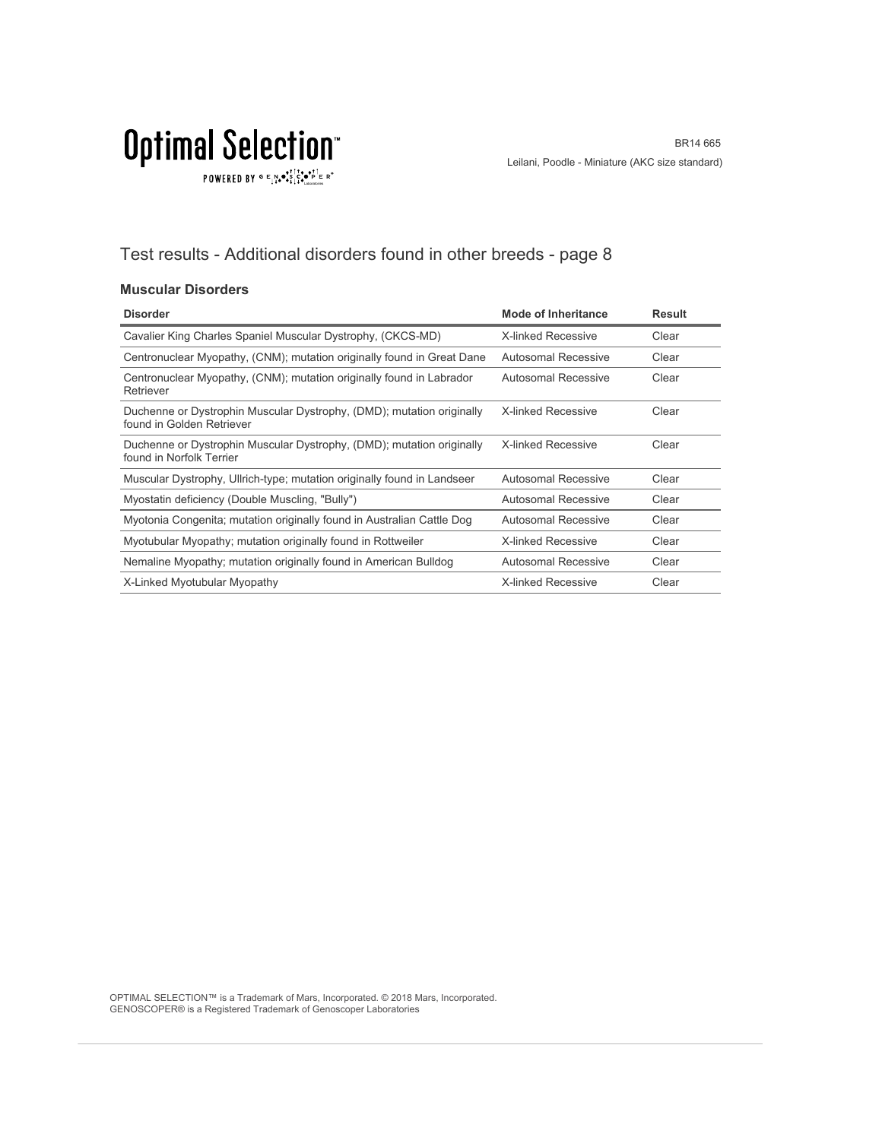### Test results - Additional disorders found in other breeds - page 8

#### **Muscular Disorders**

| <b>Disorder</b>                                                                                    | <b>Mode of Inheritance</b> | <b>Result</b> |
|----------------------------------------------------------------------------------------------------|----------------------------|---------------|
| Cavalier King Charles Spaniel Muscular Dystrophy, (CKCS-MD)                                        | <b>X-linked Recessive</b>  | Clear         |
| Centronuclear Myopathy, (CNM); mutation originally found in Great Dane                             | Autosomal Recessive        | Clear         |
| Centronuclear Myopathy, (CNM); mutation originally found in Labrador<br>Retriever                  | Autosomal Recessive        | Clear         |
| Duchenne or Dystrophin Muscular Dystrophy, (DMD); mutation originally<br>found in Golden Retriever | <b>X-linked Recessive</b>  | Clear         |
| Duchenne or Dystrophin Muscular Dystrophy, (DMD); mutation originally<br>found in Norfolk Terrier  | <b>X-linked Recessive</b>  | Clear         |
| Muscular Dystrophy, Ullrich-type; mutation originally found in Landseer                            | Autosomal Recessive        | Clear         |
| Myostatin deficiency (Double Muscling, "Bully")                                                    | Autosomal Recessive        | Clear         |
| Myotonia Congenita; mutation originally found in Australian Cattle Dog                             | <b>Autosomal Recessive</b> | Clear         |
| Myotubular Myopathy; mutation originally found in Rottweiler                                       | <b>X-linked Recessive</b>  | Clear         |
| Nemaline Myopathy; mutation originally found in American Bulldog                                   | <b>Autosomal Recessive</b> | Clear         |
| X-Linked Myotubular Myopathy                                                                       | <b>X-linked Recessive</b>  | Clear         |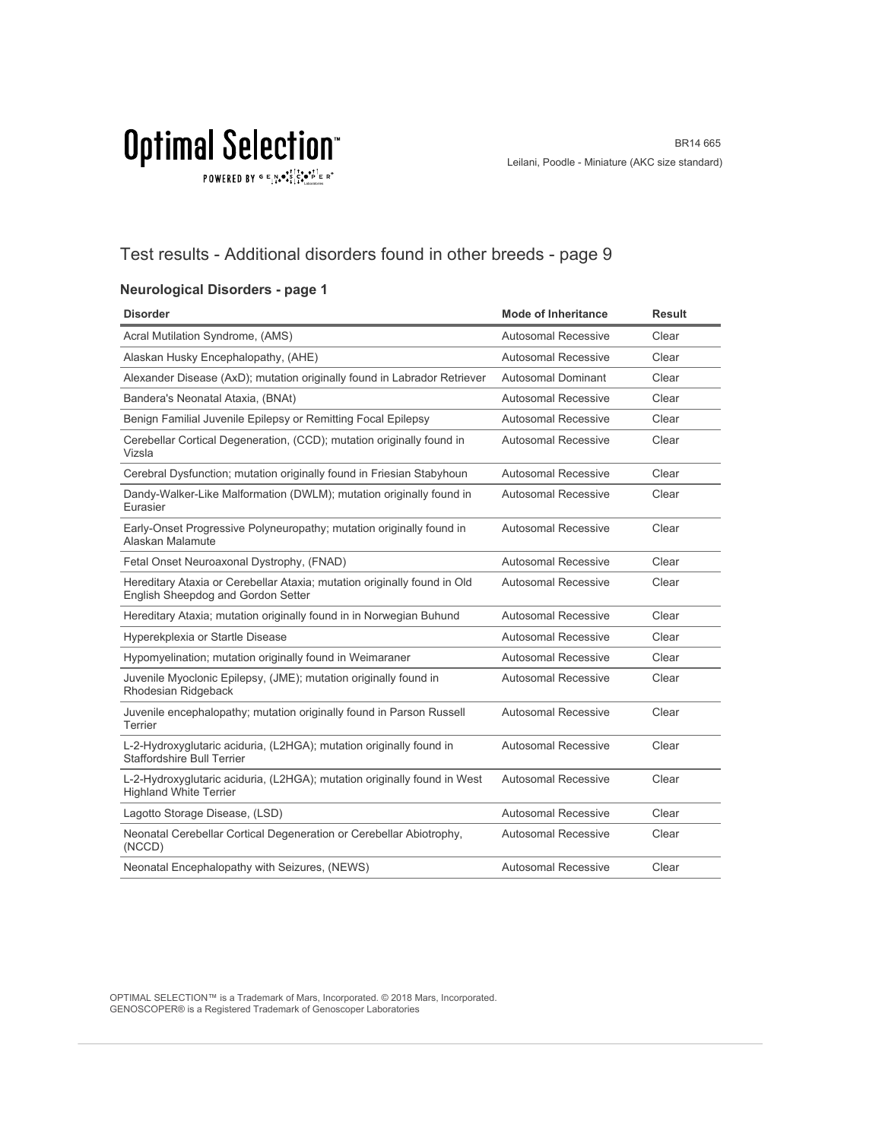$\texttt{POWERED BY} \overset{\text{\tiny{\textsf{GP}}}}{=} \mathbb{E}^{\text{N}}_{\text{14}} \bullet^{\text{\tiny{\textsf{opt}}}}_{\text{\tiny{\textsf{14}}}} \mathbb{E}^{\bullet\bullet\text{PI}}_{\text{\tiny{\textsf{14}}}} \mathbb{E}^{\circ\text{-P}}$ 

### Test results - Additional disorders found in other breeds - page 9

#### **Neurological Disorders - page 1**

| <b>Disorder</b>                                                                                                | <b>Mode of Inheritance</b> | Result |
|----------------------------------------------------------------------------------------------------------------|----------------------------|--------|
| Acral Mutilation Syndrome, (AMS)                                                                               | <b>Autosomal Recessive</b> | Clear  |
| Alaskan Husky Encephalopathy, (AHE)                                                                            | Autosomal Recessive        | Clear  |
| Alexander Disease (AxD); mutation originally found in Labrador Retriever                                       | <b>Autosomal Dominant</b>  | Clear  |
| Bandera's Neonatal Ataxia, (BNAt)                                                                              | <b>Autosomal Recessive</b> | Clear  |
| Benign Familial Juvenile Epilepsy or Remitting Focal Epilepsy                                                  | Autosomal Recessive        | Clear  |
| Cerebellar Cortical Degeneration, (CCD); mutation originally found in<br>Vizsla                                | <b>Autosomal Recessive</b> | Clear  |
| Cerebral Dysfunction; mutation originally found in Friesian Stabyhoun                                          | <b>Autosomal Recessive</b> | Clear  |
| Dandy-Walker-Like Malformation (DWLM); mutation originally found in<br>Eurasier                                | <b>Autosomal Recessive</b> | Clear  |
| Early-Onset Progressive Polyneuropathy; mutation originally found in<br>Alaskan Malamute                       | Autosomal Recessive        | Clear  |
| Fetal Onset Neuroaxonal Dystrophy, (FNAD)                                                                      | Autosomal Recessive        | Clear  |
| Hereditary Ataxia or Cerebellar Ataxia; mutation originally found in Old<br>English Sheepdog and Gordon Setter | <b>Autosomal Recessive</b> | Clear  |
| Hereditary Ataxia; mutation originally found in in Norwegian Buhund                                            | Autosomal Recessive        | Clear  |
| Hyperekplexia or Startle Disease                                                                               | Autosomal Recessive        | Clear  |
| Hypomyelination; mutation originally found in Weimaraner                                                       | Autosomal Recessive        | Clear  |
| Juvenile Myoclonic Epilepsy, (JME); mutation originally found in<br>Rhodesian Ridgeback                        | <b>Autosomal Recessive</b> | Clear  |
| Juvenile encephalopathy; mutation originally found in Parson Russell<br>Terrier                                | <b>Autosomal Recessive</b> | Clear  |
| L-2-Hydroxyglutaric aciduria, (L2HGA); mutation originally found in<br><b>Staffordshire Bull Terrier</b>       | <b>Autosomal Recessive</b> | Clear  |
| L-2-Hydroxyglutaric aciduria, (L2HGA); mutation originally found in West<br><b>Highland White Terrier</b>      | <b>Autosomal Recessive</b> | Clear  |
| Lagotto Storage Disease, (LSD)                                                                                 | Autosomal Recessive        | Clear  |
| Neonatal Cerebellar Cortical Degeneration or Cerebellar Abiotrophy,<br>(NCCD)                                  | <b>Autosomal Recessive</b> | Clear  |
| Neonatal Encephalopathy with Seizures, (NEWS)                                                                  | Autosomal Recessive        | Clear  |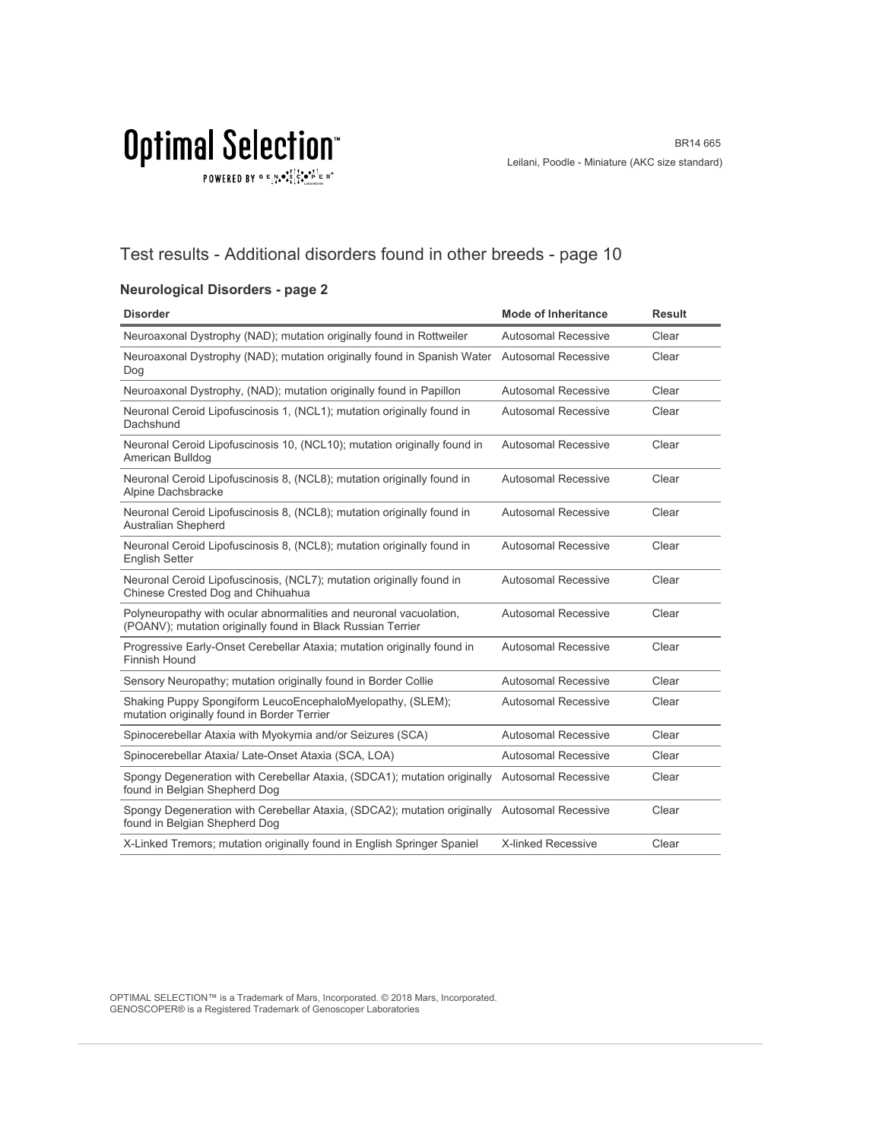$\texttt{POWERED BY} \overset{\text{\tiny{\textsf{GP}}}}{=} \mathbb{E}^{\text{N}}_{\text{14}} \bullet^{\text{\tiny{\textsf{opt}}}}_{\text{\tiny{\textsf{14}}}} \mathbb{E}^{\bullet\bullet\text{PI}}_{\text{\tiny{\textsf{14}}}} \mathbb{E}^{\circ\text{-P}}$ 

### Test results - Additional disorders found in other breeds - page 10

#### **Neurological Disorders - page 2**

| <b>Disorder</b>                                                                                                                   | <b>Mode of Inheritance</b> | <b>Result</b> |
|-----------------------------------------------------------------------------------------------------------------------------------|----------------------------|---------------|
| Neuroaxonal Dystrophy (NAD); mutation originally found in Rottweiler                                                              | <b>Autosomal Recessive</b> | Clear         |
| Neuroaxonal Dystrophy (NAD); mutation originally found in Spanish Water Autosomal Recessive<br>Dog                                |                            | Clear         |
| Neuroaxonal Dystrophy, (NAD); mutation originally found in Papillon                                                               | Autosomal Recessive        | Clear         |
| Neuronal Ceroid Lipofuscinosis 1, (NCL1); mutation originally found in<br>Dachshund                                               | Autosomal Recessive        | Clear         |
| Neuronal Ceroid Lipofuscinosis 10, (NCL10); mutation originally found in<br>American Bulldog                                      | <b>Autosomal Recessive</b> | Clear         |
| Neuronal Ceroid Lipofuscinosis 8, (NCL8); mutation originally found in<br>Alpine Dachsbracke                                      | Autosomal Recessive        | Clear         |
| Neuronal Ceroid Lipofuscinosis 8, (NCL8); mutation originally found in<br><b>Australian Shepherd</b>                              | Autosomal Recessive        | Clear         |
| Neuronal Ceroid Lipofuscinosis 8, (NCL8); mutation originally found in<br><b>English Setter</b>                                   | <b>Autosomal Recessive</b> | Clear         |
| Neuronal Ceroid Lipofuscinosis, (NCL7); mutation originally found in<br>Chinese Crested Dog and Chihuahua                         | Autosomal Recessive        | Clear         |
| Polyneuropathy with ocular abnormalities and neuronal vacuolation,<br>(POANV); mutation originally found in Black Russian Terrier | Autosomal Recessive        | Clear         |
| Progressive Early-Onset Cerebellar Ataxia; mutation originally found in<br>Finnish Hound                                          | <b>Autosomal Recessive</b> | Clear         |
| Sensory Neuropathy; mutation originally found in Border Collie                                                                    | <b>Autosomal Recessive</b> | Clear         |
| Shaking Puppy Spongiform LeucoEncephaloMyelopathy, (SLEM);<br>mutation originally found in Border Terrier                         | <b>Autosomal Recessive</b> | Clear         |
| Spinocerebellar Ataxia with Myokymia and/or Seizures (SCA)                                                                        | Autosomal Recessive        | Clear         |
| Spinocerebellar Ataxia/ Late-Onset Ataxia (SCA, LOA)                                                                              | <b>Autosomal Recessive</b> | Clear         |
| Spongy Degeneration with Cerebellar Ataxia, (SDCA1); mutation originally<br>found in Belgian Shepherd Dog                         | <b>Autosomal Recessive</b> | Clear         |
| Spongy Degeneration with Cerebellar Ataxia, (SDCA2); mutation originally Autosomal Recessive<br>found in Belgian Shepherd Dog     |                            | Clear         |
| X-Linked Tremors; mutation originally found in English Springer Spaniel                                                           | X-linked Recessive         | Clear         |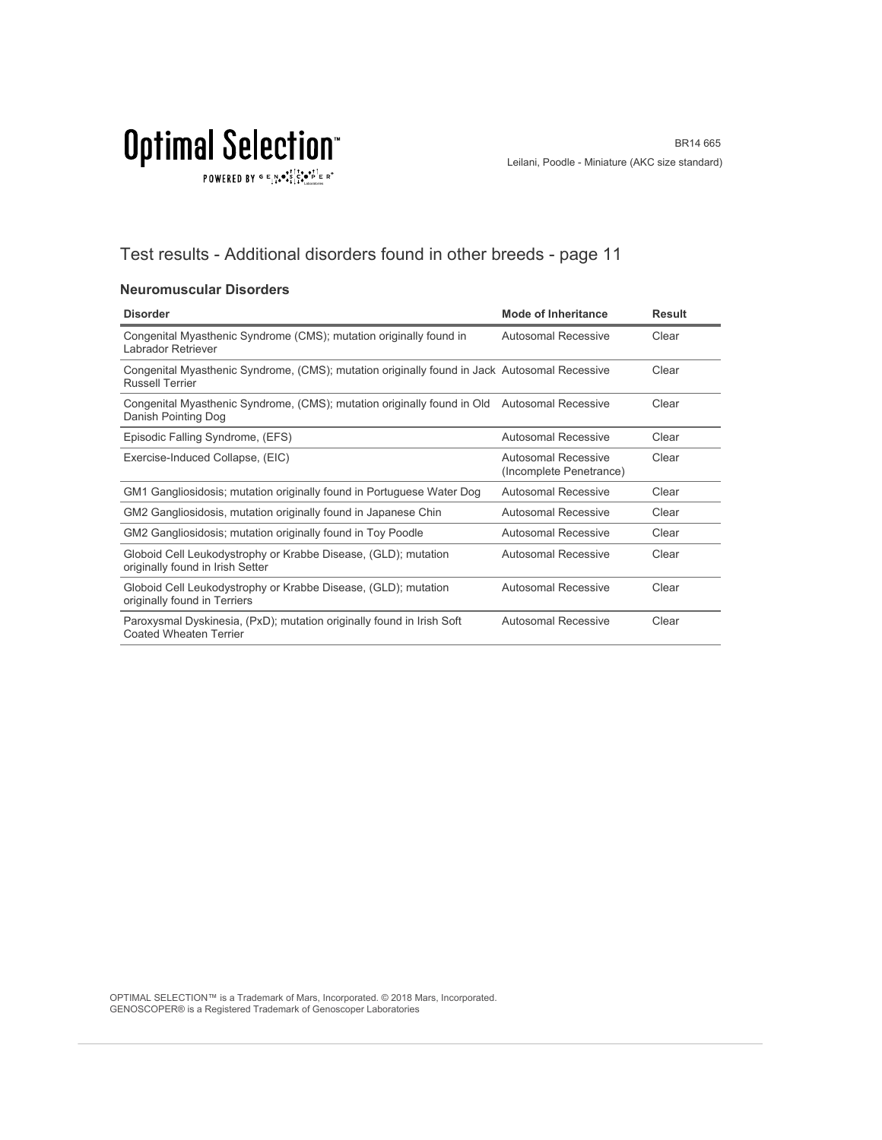$\texttt{POWERED BY} \overset{\text{\tiny{\textsf{GP}}}}{=} \mathbb{E}^{\text{N}}_{\text{14}} \bullet^{\text{\tiny{\textsf{opt}}}}_{\text{\tiny{\textsf{14}}}} \mathbb{E}^{\bullet\bullet\text{PI}}_{\text{\tiny{\textsf{14}}}} \mathbb{E}^{\circ\text{-P}}$ 

### Test results - Additional disorders found in other breeds - page 11

#### **Neuromuscular Disorders**

| <b>Disorder</b>                                                                                                        | <b>Mode of Inheritance</b>                     | <b>Result</b> |
|------------------------------------------------------------------------------------------------------------------------|------------------------------------------------|---------------|
| Congenital Myasthenic Syndrome (CMS); mutation originally found in<br>Labrador Retriever                               | <b>Autosomal Recessive</b>                     | Clear         |
| Congenital Myasthenic Syndrome, (CMS); mutation originally found in Jack Autosomal Recessive<br><b>Russell Terrier</b> |                                                | Clear         |
| Congenital Myasthenic Syndrome, (CMS); mutation originally found in Old Autosomal Recessive<br>Danish Pointing Dog     |                                                | Clear         |
| Episodic Falling Syndrome, (EFS)                                                                                       | <b>Autosomal Recessive</b>                     | Clear         |
| Exercise-Induced Collapse, (EIC)                                                                                       | Autosomal Recessive<br>(Incomplete Penetrance) | Clear         |
| GM1 Gangliosidosis; mutation originally found in Portuguese Water Dog                                                  | Autosomal Recessive                            | Clear         |
| GM2 Gangliosidosis, mutation originally found in Japanese Chin                                                         | Autosomal Recessive                            | Clear         |
| GM2 Gangliosidosis; mutation originally found in Toy Poodle                                                            | Autosomal Recessive                            | Clear         |
| Globoid Cell Leukodystrophy or Krabbe Disease, (GLD); mutation<br>originally found in Irish Setter                     | <b>Autosomal Recessive</b>                     | Clear         |
| Globoid Cell Leukodystrophy or Krabbe Disease, (GLD); mutation<br>originally found in Terriers                         | <b>Autosomal Recessive</b>                     | Clear         |
| Paroxysmal Dyskinesia, (PxD); mutation originally found in Irish Soft<br><b>Coated Wheaten Terrier</b>                 | Autosomal Recessive                            | Clear         |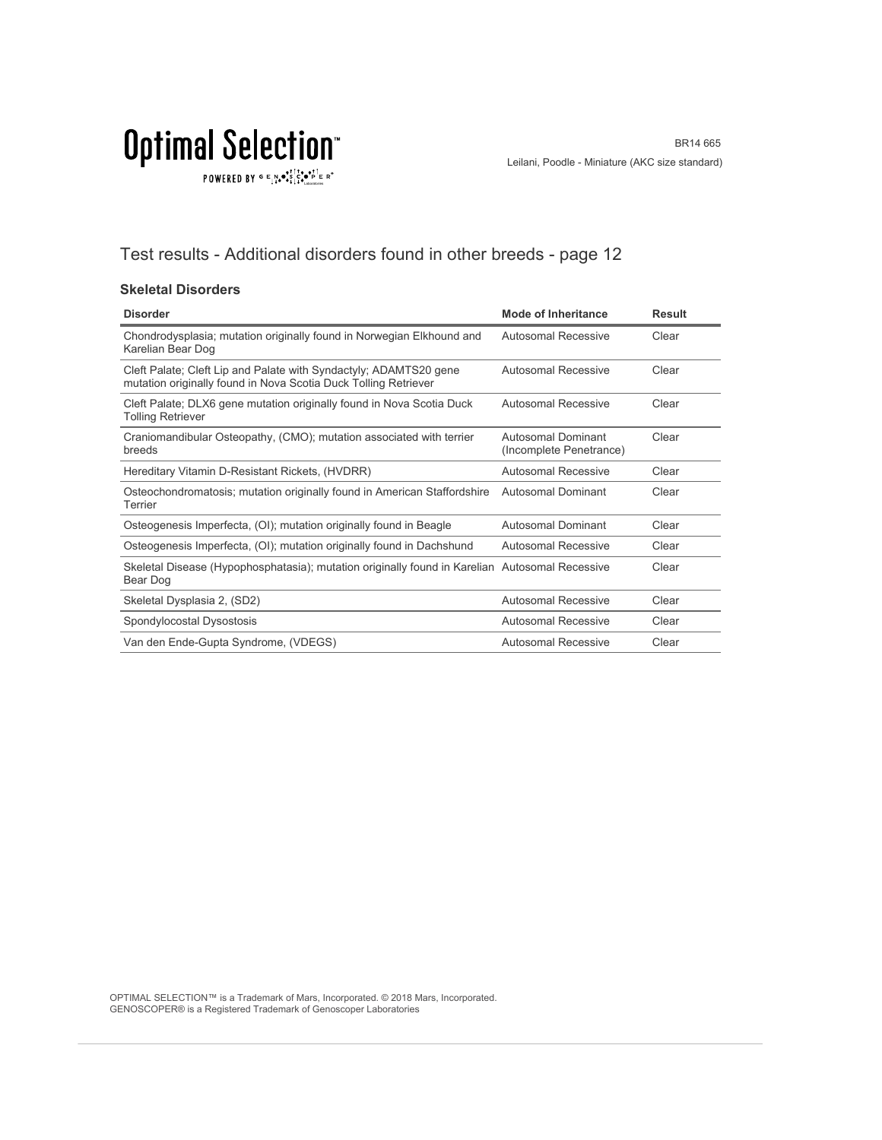### Test results - Additional disorders found in other breeds - page 12

#### **Skeletal Disorders**

| <b>Disorder</b>                                                                                                                      | <b>Mode of Inheritance</b>                    | <b>Result</b> |
|--------------------------------------------------------------------------------------------------------------------------------------|-----------------------------------------------|---------------|
| Chondrodysplasia; mutation originally found in Norwegian Elkhound and<br>Karelian Bear Dog                                           | Autosomal Recessive                           | Clear         |
| Cleft Palate; Cleft Lip and Palate with Syndactyly; ADAMTS20 gene<br>mutation originally found in Nova Scotia Duck Tolling Retriever | Autosomal Recessive                           | Clear         |
| Cleft Palate; DLX6 gene mutation originally found in Nova Scotia Duck<br><b>Tolling Retriever</b>                                    | Autosomal Recessive                           | Clear         |
| Craniomandibular Osteopathy, (CMO); mutation associated with terrier<br>breeds                                                       | Autosomal Dominant<br>(Incomplete Penetrance) | Clear         |
| Hereditary Vitamin D-Resistant Rickets, (HVDRR)                                                                                      | Autosomal Recessive                           | Clear         |
| Osteochondromatosis; mutation originally found in American Staffordshire<br>Terrier                                                  | Autosomal Dominant                            | Clear         |
| Osteogenesis Imperfecta, (OI); mutation originally found in Beagle                                                                   | Autosomal Dominant                            | Clear         |
| Osteogenesis Imperfecta, (OI); mutation originally found in Dachshund                                                                | Autosomal Recessive                           | Clear         |
| Skeletal Disease (Hypophosphatasia); mutation originally found in Karelian Autosomal Recessive<br>Bear Dog                           |                                               | Clear         |
| Skeletal Dysplasia 2, (SD2)                                                                                                          | Autosomal Recessive                           | Clear         |
| Spondylocostal Dysostosis                                                                                                            | Autosomal Recessive                           | Clear         |
| Van den Ende-Gupta Syndrome, (VDEGS)                                                                                                 | Autosomal Recessive                           | Clear         |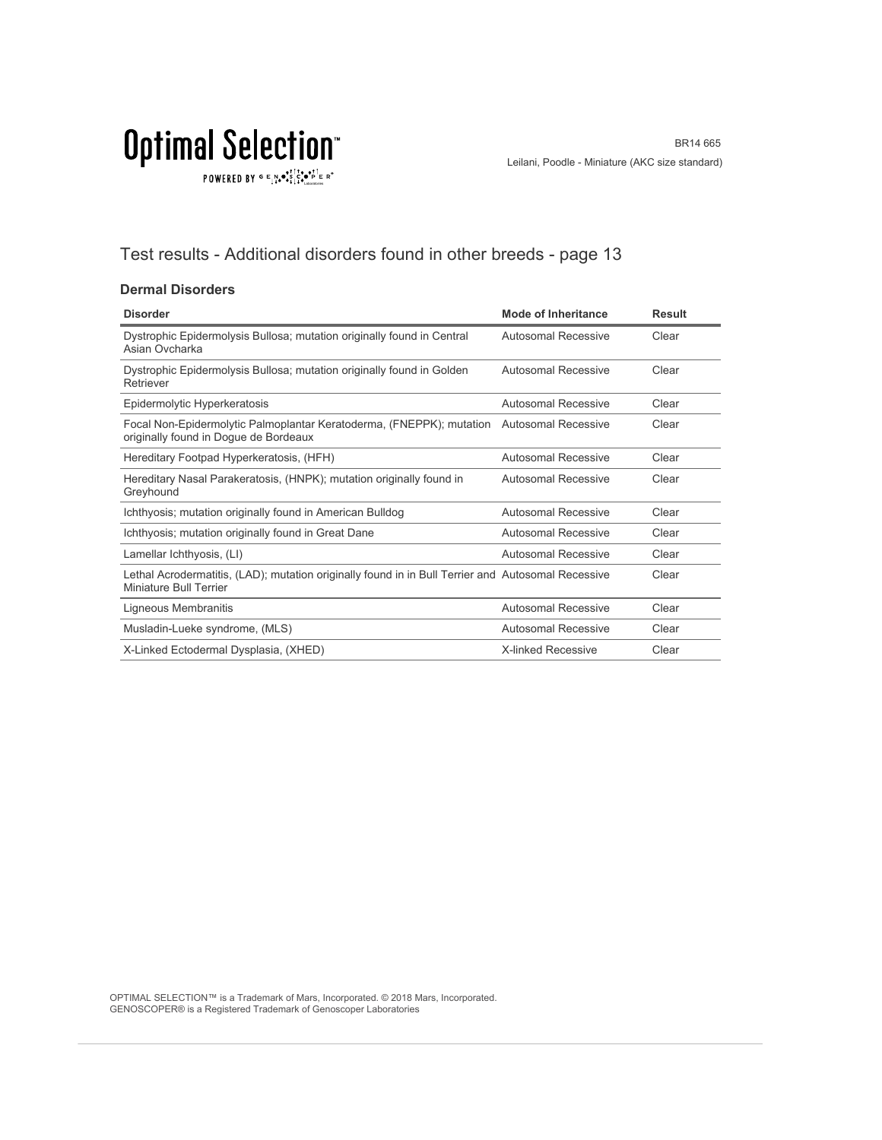$\texttt{POWERED BY} \overset{\text{G}}{=} \underset{\textbf{1}}{\text{N}} \bullet \overset{\text{G}}{\text{S}} \underset{\textbf{1}}{\overset{\text{I}}{\text{I}}}\circ \overset{\text{G}}{\bullet}\overset{\text{F}}{\text{I}} \underset{\text{the becomes}}{\overset{\text{G}}{\text{F}}} \mathbb{R}^\circ$ 

### Test results - Additional disorders found in other breeds - page 13

#### **Dermal Disorders**

| <b>Disorder</b>                                                                                                              | <b>Mode of Inheritance</b> | <b>Result</b> |
|------------------------------------------------------------------------------------------------------------------------------|----------------------------|---------------|
| Dystrophic Epidermolysis Bullosa; mutation originally found in Central<br>Asian Ovcharka                                     | Autosomal Recessive        | Clear         |
| Dystrophic Epidermolysis Bullosa; mutation originally found in Golden<br>Retriever                                           | Autosomal Recessive        | Clear         |
| Epidermolytic Hyperkeratosis                                                                                                 | Autosomal Recessive        | Clear         |
| Focal Non-Epidermolytic Palmoplantar Keratoderma, (FNEPPK); mutation<br>originally found in Dogue de Bordeaux                | <b>Autosomal Recessive</b> | Clear         |
| Hereditary Footpad Hyperkeratosis, (HFH)                                                                                     | Autosomal Recessive        | Clear         |
| Hereditary Nasal Parakeratosis, (HNPK); mutation originally found in<br>Greyhound                                            | Autosomal Recessive        | Clear         |
| Ichthyosis; mutation originally found in American Bulldog                                                                    | Autosomal Recessive        | Clear         |
| Ichthyosis; mutation originally found in Great Dane                                                                          | Autosomal Recessive        | Clear         |
| Lamellar Ichthyosis, (LI)                                                                                                    | Autosomal Recessive        | Clear         |
| Lethal Acrodermatitis, (LAD); mutation originally found in in Bull Terrier and Autosomal Recessive<br>Miniature Bull Terrier |                            | Clear         |
| Ligneous Membranitis                                                                                                         | Autosomal Recessive        | Clear         |
| Musladin-Lueke syndrome, (MLS)                                                                                               | Autosomal Recessive        | Clear         |
| X-Linked Ectodermal Dysplasia, (XHED)                                                                                        | <b>X-linked Recessive</b>  | Clear         |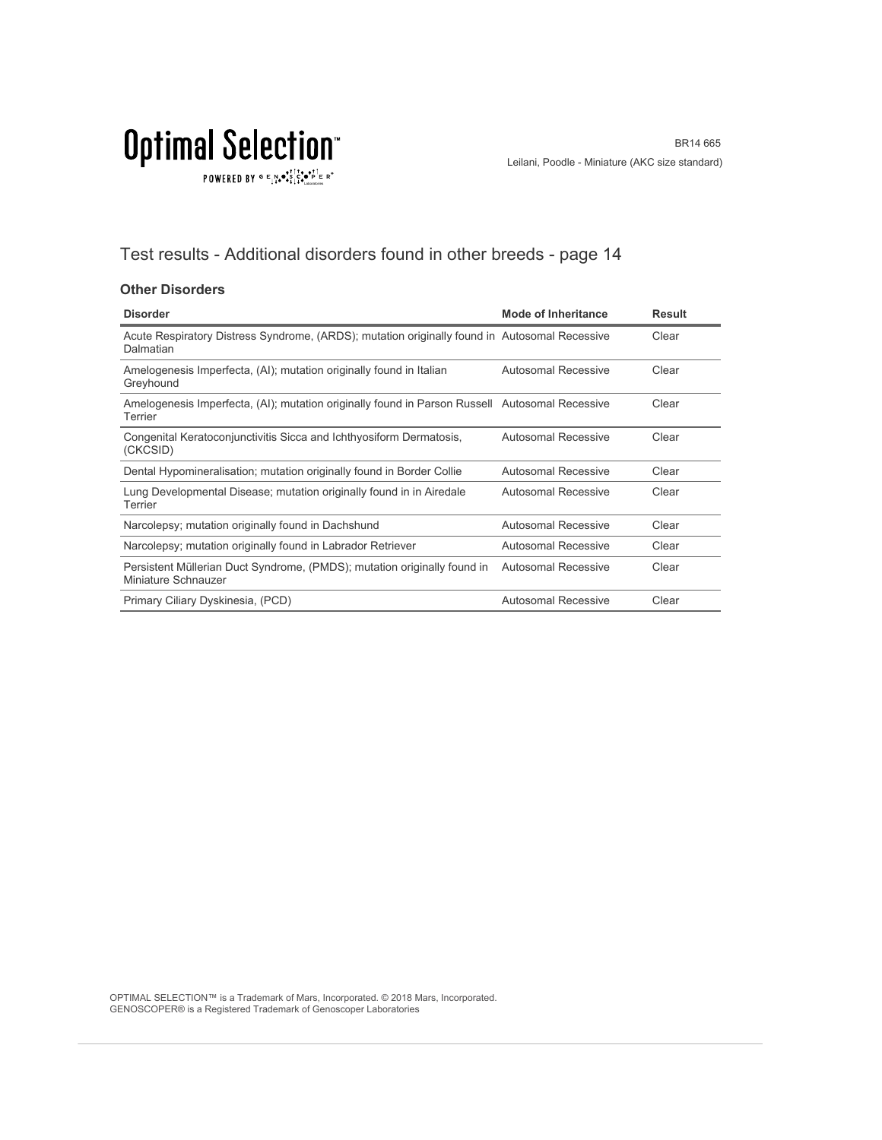### Test results - Additional disorders found in other breeds - page 14

#### **Other Disorders**

| <b>Disorder</b>                                                                                            | Mode of Inheritance        | <b>Result</b> |
|------------------------------------------------------------------------------------------------------------|----------------------------|---------------|
| Acute Respiratory Distress Syndrome, (ARDS); mutation originally found in Autosomal Recessive<br>Dalmatian |                            | Clear         |
| Amelogenesis Imperfecta, (AI); mutation originally found in Italian<br>Greyhound                           | <b>Autosomal Recessive</b> | Clear         |
| Amelogenesis Imperfecta, (AI); mutation originally found in Parson Russell Autosomal Recessive<br>Terrier  |                            | Clear         |
| Congenital Keratoconjunctivitis Sicca and Ichthyosiform Dermatosis,<br>(CKCSID)                            | Autosomal Recessive        | Clear         |
| Dental Hypomineralisation; mutation originally found in Border Collie                                      | <b>Autosomal Recessive</b> | Clear         |
| Lung Developmental Disease; mutation originally found in in Airedale<br>Terrier                            | <b>Autosomal Recessive</b> | Clear         |
| Narcolepsy; mutation originally found in Dachshund                                                         | Autosomal Recessive        | Clear         |
| Narcolepsy; mutation originally found in Labrador Retriever                                                | Autosomal Recessive        | Clear         |
| Persistent Müllerian Duct Syndrome, (PMDS); mutation originally found in<br>Miniature Schnauzer            | <b>Autosomal Recessive</b> | Clear         |
| Primary Ciliary Dyskinesia, (PCD)                                                                          | <b>Autosomal Recessive</b> | Clear         |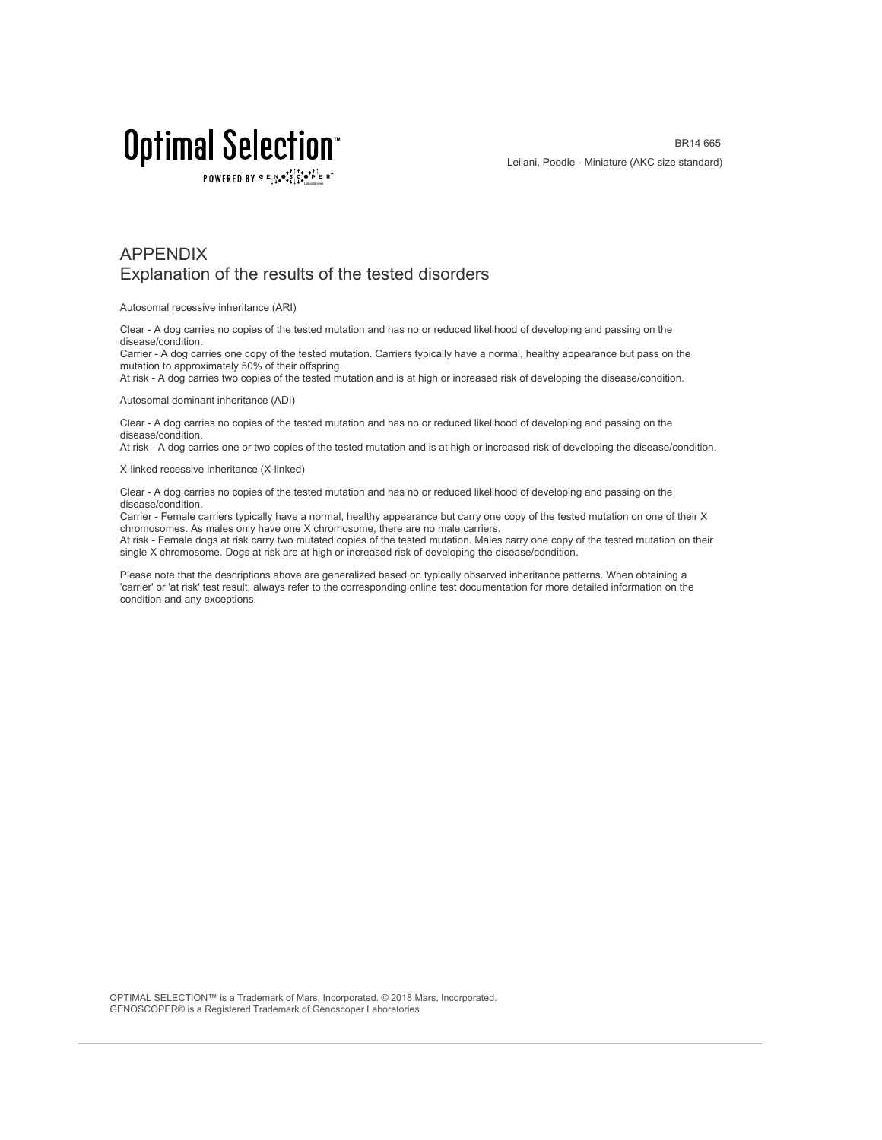POWERED BY  $G \in N_{\bullet} \bullet_{\bullet}^{\dagger} \stackrel{\uparrow}{\circ} \bullet_{\mathbf{P}}^{\dagger} \in R^{\circ}$ 

### APPENDIX Explanation of the results of the tested disorders

Autosomal recessive inheritance (ARI)

Clear - A dog carries no copies of the tested mutation and has no or reduced likelihood of developing and passing on the disease/condition.

Carrier - A dog carries one copy of the tested mutation. Carriers typically have a normal, healthy appearance but pass on the mutation to approximately 50% of their offspring.

At risk - A dog carries two copies of the tested mutation and is at high or increased risk of developing the disease/condition.

Autosomal dominant inheritance (ADI)

Clear - A dog carries no copies of the tested mutation and has no or reduced likelihood of developing and passing on the disease/condition.

At risk - A dog carries one or two copies of the tested mutation and is at high or increased risk of developing the disease/condition.

X-linked recessive inheritance (X-linked)

Clear - A dog carries no copies of the tested mutation and has no or reduced likelihood of developing and passing on the disease/condition.

Carrier - Female carriers typically have a normal, healthy appearance but carry one copy of the tested mutation on one of their X chromosomes. As males only have one X chromosome, there are no male carriers.

At risk - Female dogs at risk carry two mutated copies of the tested mutation. Males carry one copy of the tested mutation on their single X chromosome. Dogs at risk are at high or increased risk of developing the disease/condition.

Please note that the descriptions above are generalized based on typically observed inheritance patterns. When obtaining a 'carrier' or 'at risk' test result, always refer to the corresponding online test documentation for more detailed information on the condition and any exceptions.